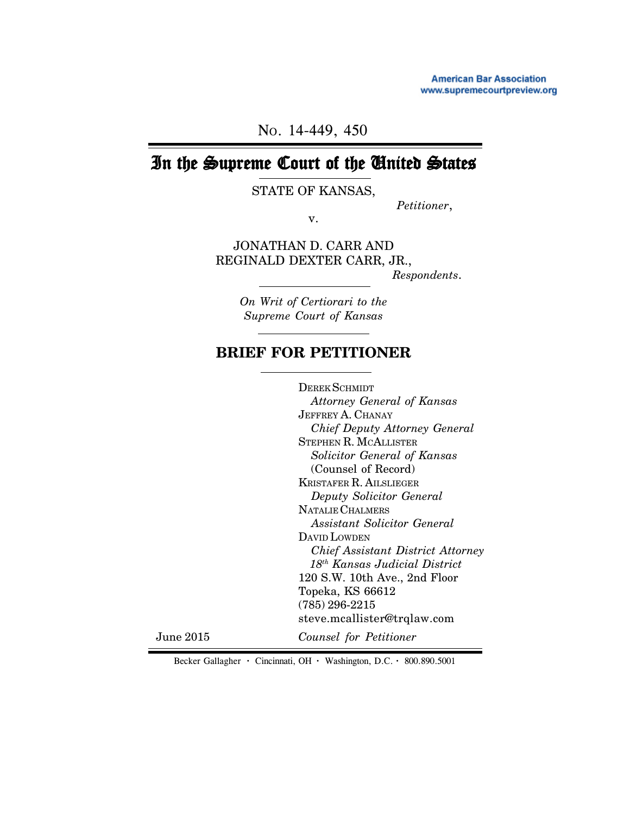**American Bar Association** www.supremecourtpreview.org

NO. 14-449, 450

# In the Supreme Court of the United States

STATE OF KANSAS,

*Petitioner*,

v.

JONATHAN D. CARR AND REGINALD DEXTER CARR, JR.,

*Respondents*.

*On Writ of Certiorari to the Supreme Court of Kansas*

# **BRIEF FOR PETITIONER**

DEREK SCHMIDT  *Attorney General of Kansas* JEFFREY A. CHANAY *Chief Deputy Attorney General* STEPHEN R. MCALLISTER  *Solicitor General of Kansas* (Counsel of Record) KRISTAFER R. AILSLIEGER  *Deputy Solicitor General* NATALIE CHALMERS  *Assistant Solicitor General* DAVID LOWDEN  *Chief Assistant District Attorney 18th Kansas Judicial District* 120 S.W. 10th Ave., 2nd Floor Topeka, KS 66612 (785) 296-2215 steve.mcallister@trqlaw.com *Counsel for Petitioner*

June 2015

Becker Gallagher **·** Cincinnati, OH **·** Washington, D.C. **·** 800.890.5001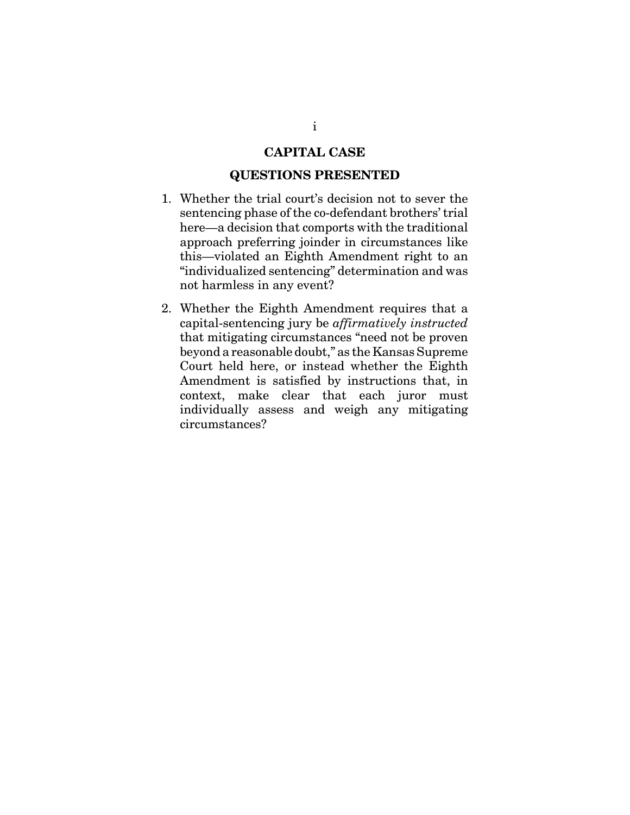### **CAPITAL CASE**

#### **QUESTIONS PRESENTED**

- 1. Whether the trial court's decision not to sever the sentencing phase of the co-defendant brothers' trial here—a decision that comports with the traditional approach preferring joinder in circumstances like this—violated an Eighth Amendment right to an "individualized sentencing" determination and was not harmless in any event?
- 2. Whether the Eighth Amendment requires that a capital-sentencing jury be *affirmatively instructed* that mitigating circumstances "need not be proven beyond a reasonable doubt," as the Kansas Supreme Court held here, or instead whether the Eighth Amendment is satisfied by instructions that, in context, make clear that each juror must individually assess and weigh any mitigating circumstances?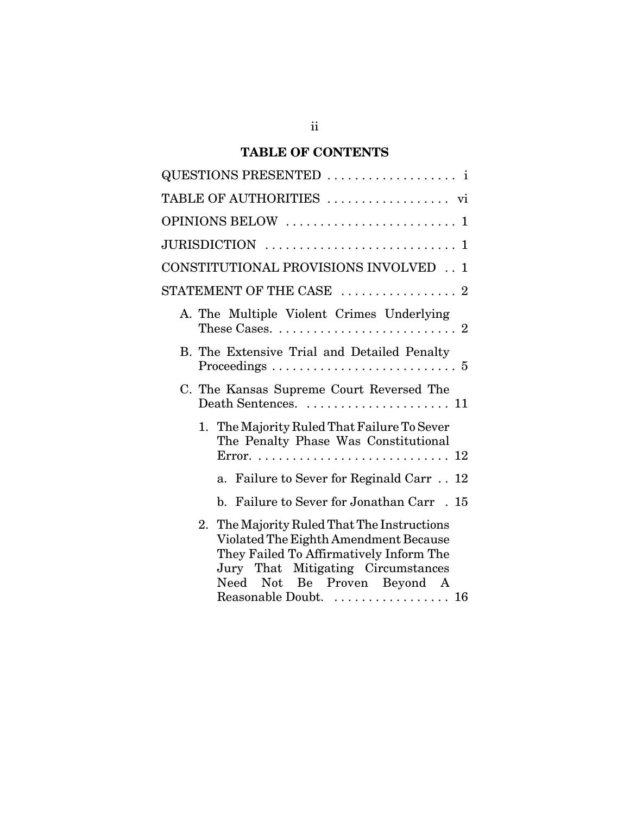# **TABLE OF CONTENTS**

| QUESTIONS PRESENTED  i                                                                                                                                                                                                        |
|-------------------------------------------------------------------------------------------------------------------------------------------------------------------------------------------------------------------------------|
| TABLE OF AUTHORITIES  vi                                                                                                                                                                                                      |
|                                                                                                                                                                                                                               |
|                                                                                                                                                                                                                               |
| CONSTITUTIONAL PROVISIONS INVOLVED 1                                                                                                                                                                                          |
| $\operatorname{STATEMENT}$ OF THE CASE $\,\,\ldots\,\ldots\,\ldots\,\ldots\,\ldots\,\,2$                                                                                                                                      |
| A. The Multiple Violent Crimes Underlying<br>These Cases. $\ldots \ldots \ldots \ldots \ldots \ldots \ldots \ldots 2$                                                                                                         |
| B. The Extensive Trial and Detailed Penalty<br>Proceedings $\ldots \ldots \ldots \ldots \ldots \ldots \ldots \ldots 5$                                                                                                        |
| C. The Kansas Supreme Court Reversed The<br>Death Sentences.  11                                                                                                                                                              |
| 1. The Majority Ruled That Failure To Sever<br>The Penalty Phase Was Constitutional                                                                                                                                           |
| a. Failure to Sever for Reginald Carr 12                                                                                                                                                                                      |
| b. Failure to Sever for Jonathan Carr . 15                                                                                                                                                                                    |
| 2. The Majority Ruled That The Instructions<br>Violated The Eighth Amendment Because<br>They Failed To Affirmatively Inform The<br>Jury That Mitigating Circumstances<br>Need Not Be Proven Beyond A<br>Reasonable Doubt.  16 |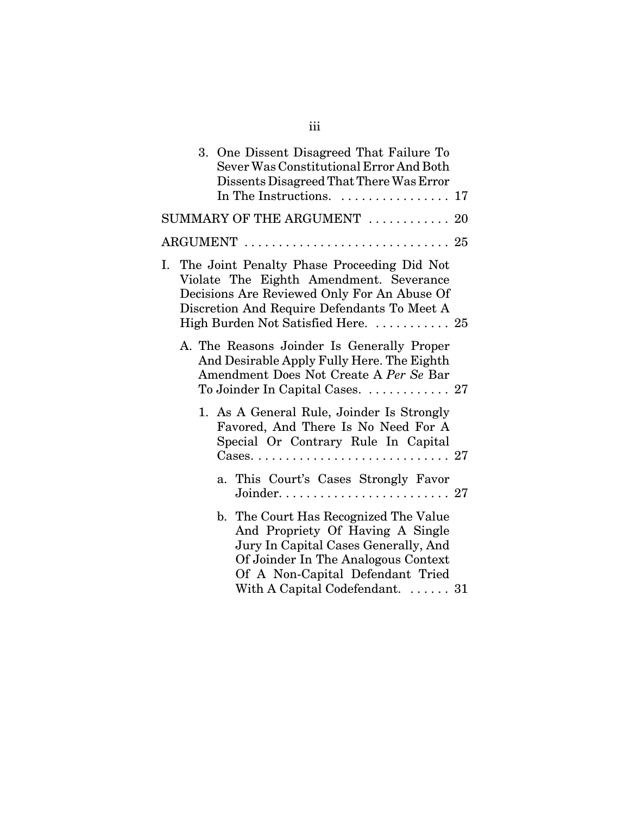|    |  | 3. One Dissent Disagreed That Failure To<br>Sever Was Constitutional Error And Both<br>Dissents Disagreed That There Was Error<br>In The Instructions.  17                                                                      |  |
|----|--|---------------------------------------------------------------------------------------------------------------------------------------------------------------------------------------------------------------------------------|--|
|    |  | $SUMMARY$ OF THE ARGUMENT $\ldots \ldots \ldots \ldots 20$                                                                                                                                                                      |  |
|    |  |                                                                                                                                                                                                                                 |  |
| I. |  | The Joint Penalty Phase Proceeding Did Not<br>Violate The Eighth Amendment. Severance<br>Decisions Are Reviewed Only For An Abuse Of<br>Discretion And Require Defendants To Meet A<br>High Burden Not Satisfied Here.  25      |  |
|    |  | A. The Reasons Joinder Is Generally Proper<br>And Desirable Apply Fully Here. The Eighth<br>Amendment Does Not Create A Per Se Bar<br>To Joinder In Capital Cases.  27                                                          |  |
|    |  | 1. As A General Rule, Joinder Is Strongly<br>Favored, And There Is No Need For A<br>Special Or Contrary Rule In Capital                                                                                                         |  |
|    |  | a. This Court's Cases Strongly Favor                                                                                                                                                                                            |  |
|    |  | b. The Court Has Recognized The Value<br>And Propriety Of Having A Single<br>Jury In Capital Cases Generally, And<br>Of Joinder In The Analogous Context<br>Of A Non-Capital Defendant Tried<br>With A Capital Codefendant.  31 |  |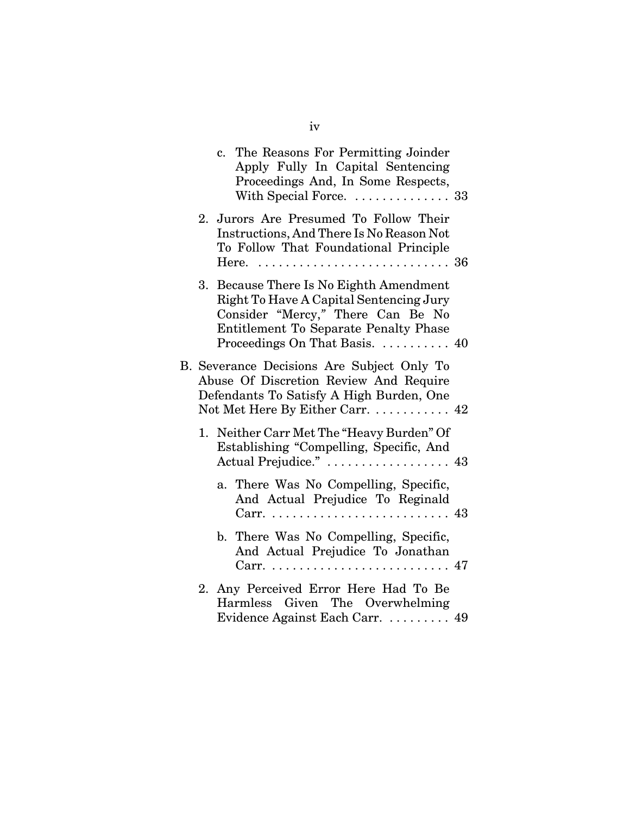|  | c. The Reasons For Permitting Joinder<br>Apply Fully In Capital Sentencing<br>Proceedings And, In Some Respects,<br>With Special Force.  33                                                        |  |
|--|----------------------------------------------------------------------------------------------------------------------------------------------------------------------------------------------------|--|
|  | 2. Jurors Are Presumed To Follow Their<br>Instructions, And There Is No Reason Not<br>To Follow That Foundational Principle                                                                        |  |
|  | 3. Because There Is No Eighth Amendment<br>Right To Have A Capital Sentencing Jury<br>Consider "Mercy," There Can Be No<br>Entitlement To Separate Penalty Phase<br>Proceedings On That Basis.  40 |  |
|  | B. Severance Decisions Are Subject Only To<br>Abuse Of Discretion Review And Require<br>Defendants To Satisfy A High Burden, One<br>Not Met Here By Either Carr.  42                               |  |
|  | 1. Neither Carr Met The "Heavy Burden" Of<br>Establishing "Compelling, Specific, And<br>Actual Prejudice."  43                                                                                     |  |
|  | a. There Was No Compelling, Specific,<br>And Actual Prejudice To Reginald                                                                                                                          |  |
|  | b. There Was No Compelling, Specific,<br>And Actual Prejudice To Jonathan                                                                                                                          |  |
|  | 2. Any Perceived Error Here Had To Be<br>Harmless Given The Overwhelming<br>Evidence Against Each Carr.  49                                                                                        |  |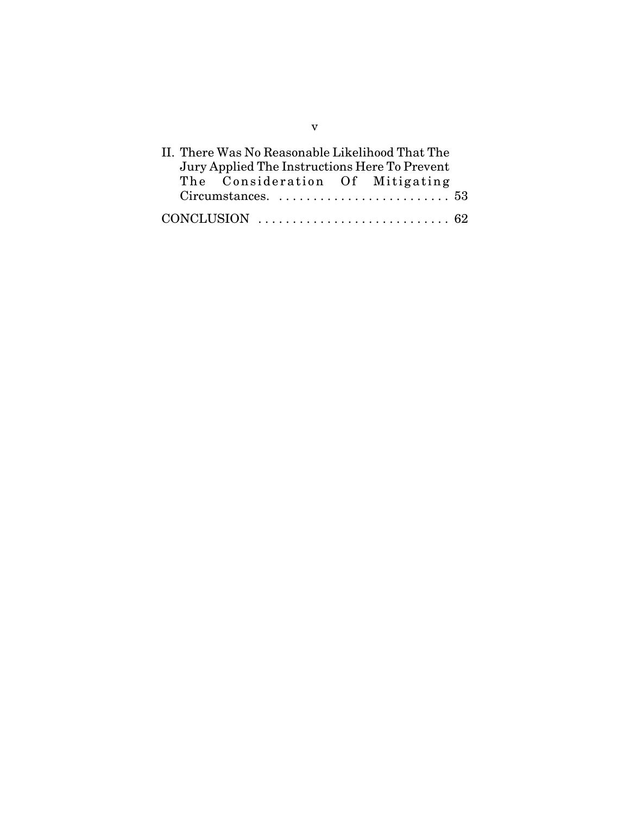| II. There Was No Reasonable Likelihood That The                         |  |  |
|-------------------------------------------------------------------------|--|--|
| Jury Applied The Instructions Here To Prevent                           |  |  |
| The Consideration Of Mitigating                                         |  |  |
|                                                                         |  |  |
| CONCLUSION $\ldots \ldots \ldots \ldots \ldots \ldots \ldots \ldots$ 62 |  |  |

v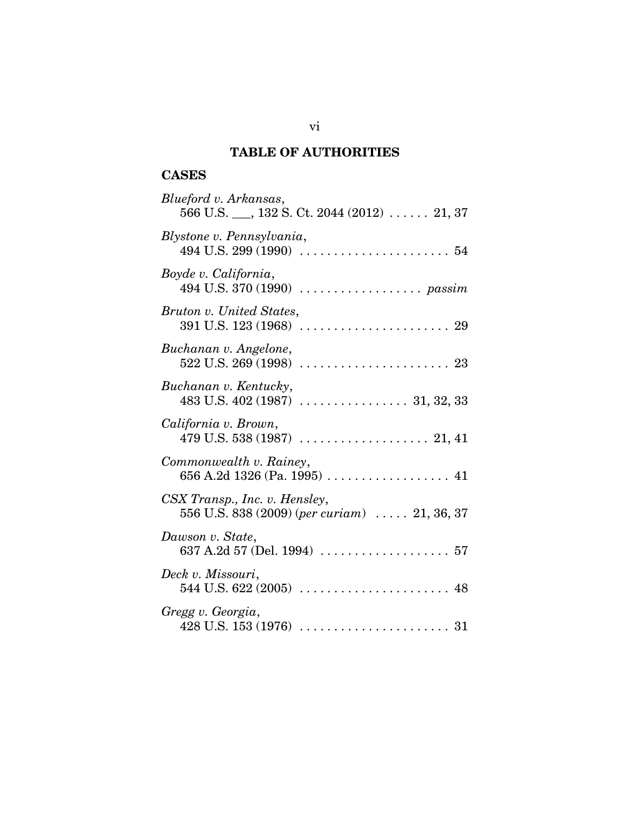## **TABLE OF AUTHORITIES**

## **CASES**

| Blueford v. Arkansas,<br>$566$ U.S. ___, $132$ S. Ct. $2044$ (2012)  21, 37           |
|---------------------------------------------------------------------------------------|
| Blystone v. Pennsylvania,                                                             |
| Boyde v. California,                                                                  |
| Bruton v. United States,                                                              |
| Buchanan v. Angelone,                                                                 |
| Buchanan v. Kentucky,                                                                 |
| California v. Brown,                                                                  |
| Commonwealth v. Rainey,                                                               |
| CSX Transp., Inc. v. Hensley,<br>556 U.S. 838 (2009) (per curiam) $\ldots$ 21, 36, 37 |
| Dawson v. State,                                                                      |
| Deck v. Missouri,                                                                     |
| Gregg v. Georgia,                                                                     |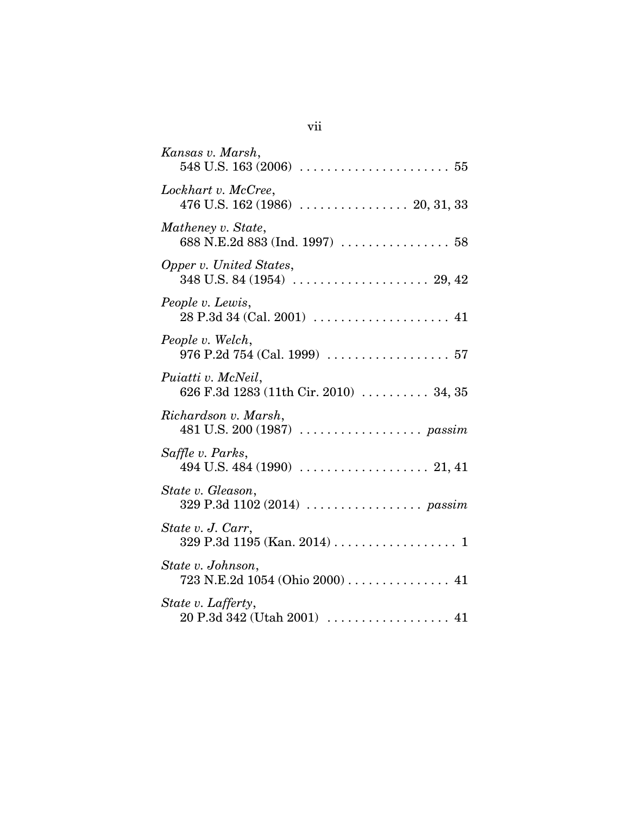| Kansas v. Marsh,                                                                               |
|------------------------------------------------------------------------------------------------|
| Lockhart v. McCree,                                                                            |
| Matheney v. State,<br>688 N.E.2d 883 (Ind. 1997)  58                                           |
| Opper v. United States,                                                                        |
| People v. Lewis,                                                                               |
| People v. Welch,<br>976 P.2d 754 (Cal. 1999) $\ldots \ldots \ldots \ldots \ldots \ldots 57$    |
| Puiatti v. McNeil,<br>626 F.3d 1283 (11th Cir. 2010)  34, 35                                   |
| Richardson v. Marsh,                                                                           |
| Saffle v. Parks,                                                                               |
| State v. Gleason,                                                                              |
| State v. J. Carr,<br>329 P.3d 1195 (Kan. 2014) 1                                               |
| State v. Johnson,<br>723 N.E.2d 1054 (Ohio 2000)  41                                           |
| State v. Lafferty,<br>$20$ P.3d 342 (Utah 2001) $\ldots \ldots \ldots \ldots \ldots \ldots$ 41 |

# vii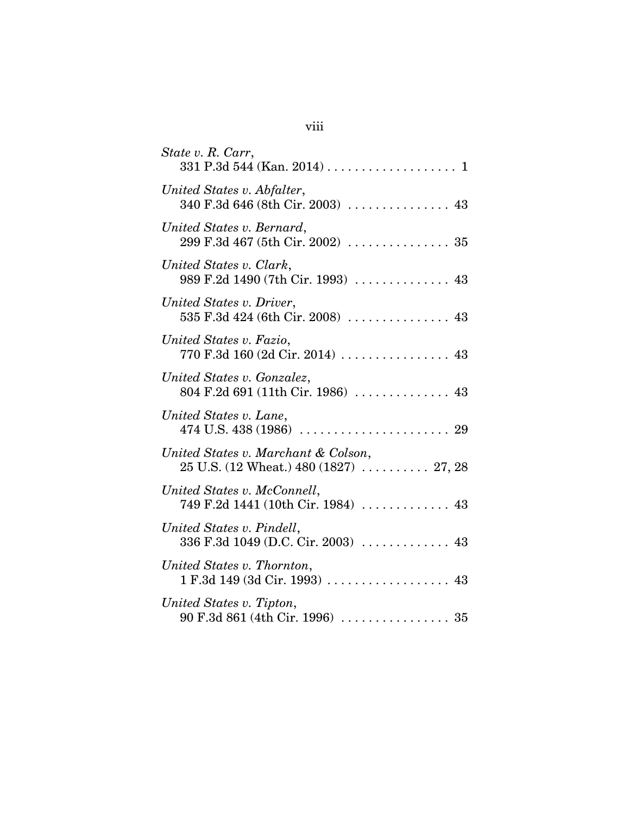| State v. R. Carr,                                                                         |
|-------------------------------------------------------------------------------------------|
| United States v. Abfalter,<br>340 F.3d 646 (8th Cir. 2003)  43                            |
| United States v. Bernard,                                                                 |
| United States v. Clark,<br>989 F.2d 1490 (7th Cir. 1993)  43                              |
| United States v. Driver,<br>535 F.3d 424 (6th Cir. 2008)  43                              |
| United States v. Fazio,<br>770 F.3d 160 (2d Cir. 2014)  43                                |
| United States v. Gonzalez,<br>804 F.2d 691 (11th Cir. 1986)  43                           |
| United States v. Lane,                                                                    |
| United States v. Marchant & Colson,<br>$25$ U.S. (12 Wheat.) 480 (1827) $\ldots$ . 27, 28 |
| United States v. McConnell,<br>749 F.2d 1441 (10th Cir. 1984)  43                         |
| United States v. Pindell,<br>336 F.3d 1049 (D.C. Cir. 2003)  43                           |
| United States v. Thornton,<br>$1 F.3d 149 (3d Cir. 1993) \ldots$                          |
| United States v. Tipton,                                                                  |

# viii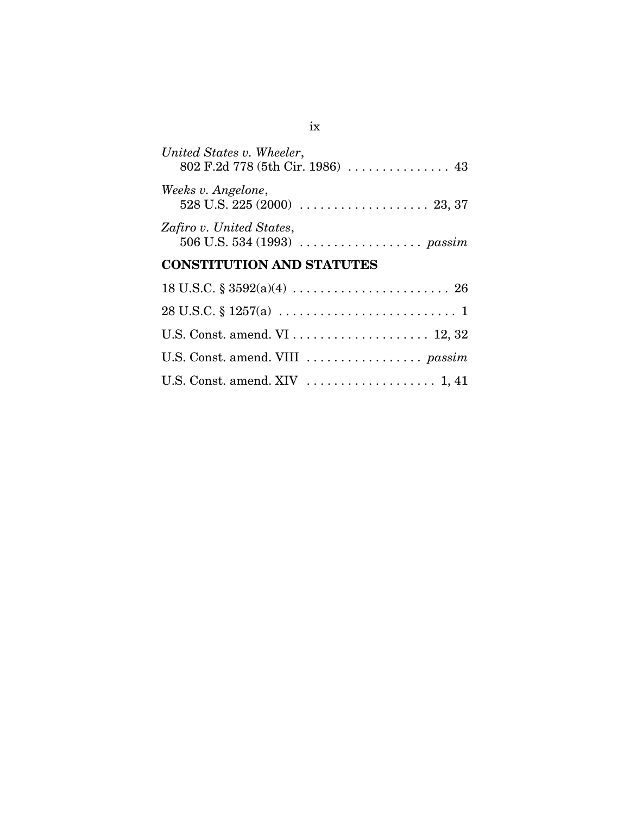| United States v. Wheeler,<br>802 F.2d 778 (5th Cir. 1986)  43                               |
|---------------------------------------------------------------------------------------------|
| Weeks v. Angelone,                                                                          |
| Zafiro v. United States,<br>506 U.S. 534 (1993) $\ldots \ldots \ldots \ldots \ldots$ passim |

# **CONSTITUTION AND STATUTES**

| U.S. Const. amend. VIII  passim |
|---------------------------------|
|                                 |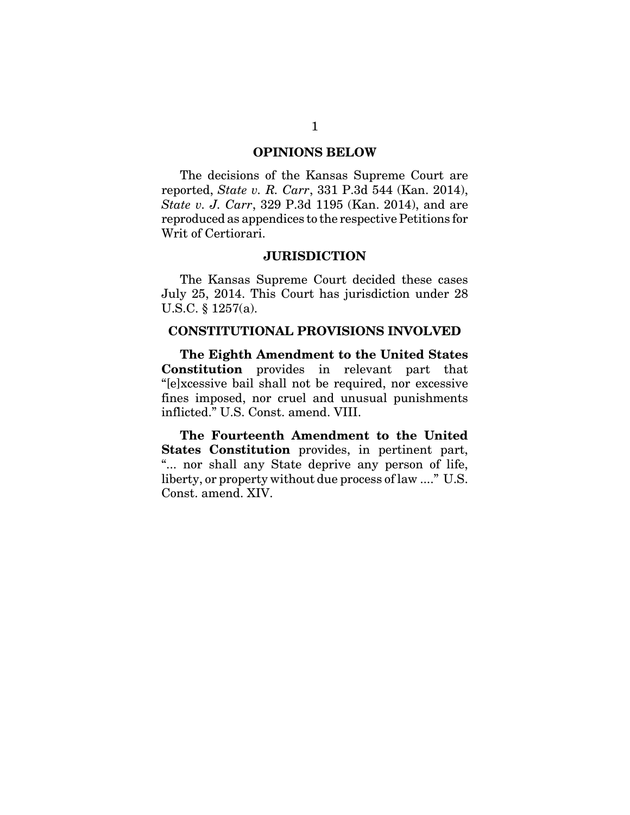#### **OPINIONS BELOW**

The decisions of the Kansas Supreme Court are reported, *State v. R. Carr*, 331 P.3d 544 (Kan. 2014), *State v. J. Carr*, 329 P.3d 1195 (Kan. 2014), and are reproduced as appendices to the respective Petitions for Writ of Certiorari.

#### **JURISDICTION**

The Kansas Supreme Court decided these cases July 25, 2014. This Court has jurisdiction under 28 U.S.C. § 1257(a).

#### **CONSTITUTIONAL PROVISIONS INVOLVED**

**The Eighth Amendment to the United States Constitution** provides in relevant part that "[e]xcessive bail shall not be required, nor excessive fines imposed, nor cruel and unusual punishments inflicted." U.S. Const. amend. VIII.

**The Fourteenth Amendment to the United States Constitution** provides, in pertinent part, "... nor shall any State deprive any person of life, liberty, or property without due process of law ...." U.S. Const. amend. XIV.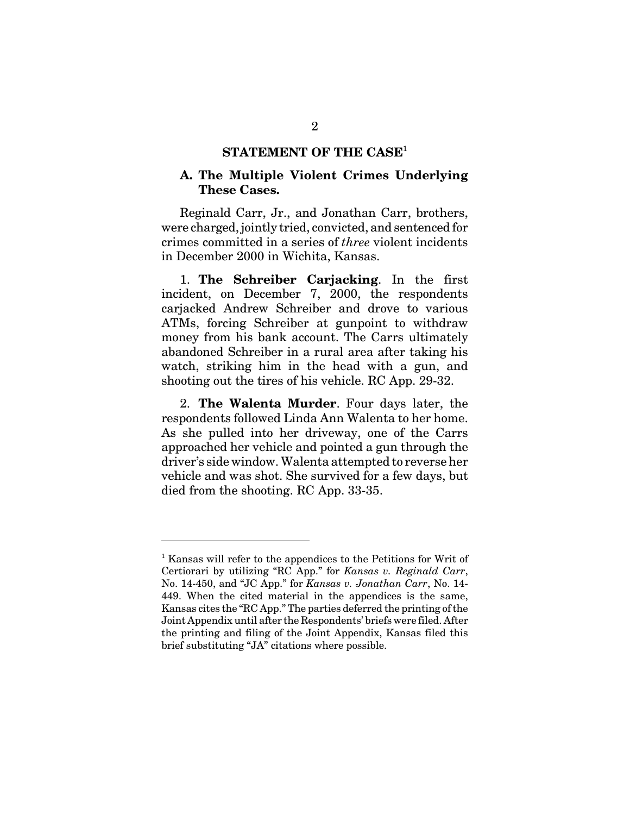## **STATEMENT OF THE CASE**<sup>1</sup>

## **A. The Multiple Violent Crimes Underlying These Cases.**

Reginald Carr, Jr., and Jonathan Carr, brothers, were charged, jointly tried, convicted, and sentenced for crimes committed in a series of *three* violent incidents in December 2000 in Wichita, Kansas.

1. **The Schreiber Carjacking**. In the first incident, on December 7, 2000, the respondents carjacked Andrew Schreiber and drove to various ATMs, forcing Schreiber at gunpoint to withdraw money from his bank account. The Carrs ultimately abandoned Schreiber in a rural area after taking his watch, striking him in the head with a gun, and shooting out the tires of his vehicle. RC App. 29-32.

2. **The Walenta Murder**. Four days later, the respondents followed Linda Ann Walenta to her home. As she pulled into her driveway, one of the Carrs approached her vehicle and pointed a gun through the driver's side window. Walenta attempted to reverse her vehicle and was shot. She survived for a few days, but died from the shooting. RC App. 33-35.

<sup>&</sup>lt;sup>1</sup> Kansas will refer to the appendices to the Petitions for Writ of Certiorari by utilizing "RC App." for *Kansas v. Reginald Carr*, No. 14-450, and "JC App." for *Kansas v. Jonathan Carr*, No. 14- 449. When the cited material in the appendices is the same, Kansas cites the "RC App." The parties deferred the printing of the Joint Appendix until after the Respondents' briefs were filed. After the printing and filing of the Joint Appendix, Kansas filed this brief substituting "JA" citations where possible.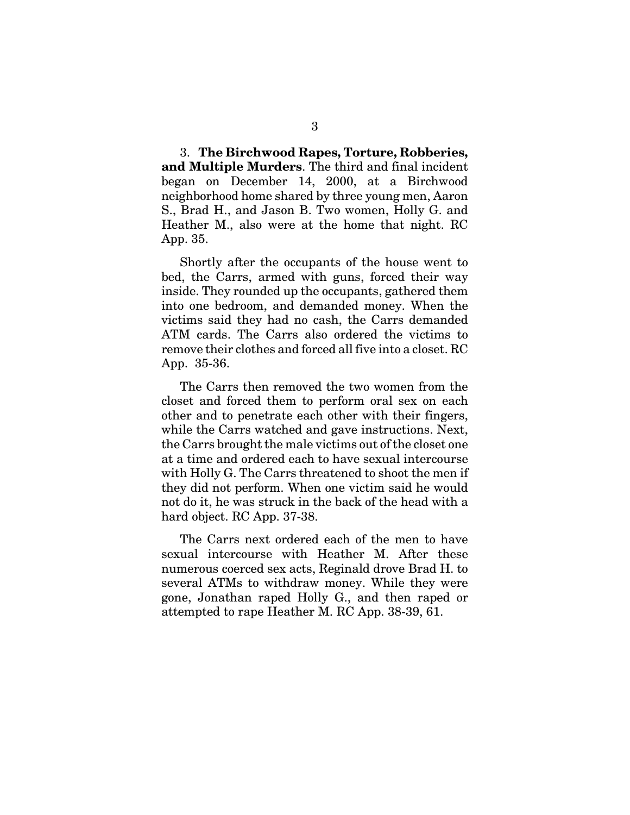3. **The Birchwood Rapes, Torture, Robberies, and Multiple Murders**. The third and final incident began on December 14, 2000, at a Birchwood neighborhood home shared by three young men, Aaron S., Brad H., and Jason B. Two women, Holly G. and Heather M., also were at the home that night. RC App. 35.

Shortly after the occupants of the house went to bed, the Carrs, armed with guns, forced their way inside. They rounded up the occupants, gathered them into one bedroom, and demanded money. When the victims said they had no cash, the Carrs demanded ATM cards. The Carrs also ordered the victims to remove their clothes and forced all five into a closet. RC App. 35-36.

The Carrs then removed the two women from the closet and forced them to perform oral sex on each other and to penetrate each other with their fingers, while the Carrs watched and gave instructions. Next, the Carrs brought the male victims out of the closet one at a time and ordered each to have sexual intercourse with Holly G. The Carrs threatened to shoot the men if they did not perform. When one victim said he would not do it, he was struck in the back of the head with a hard object. RC App. 37-38.

The Carrs next ordered each of the men to have sexual intercourse with Heather M. After these numerous coerced sex acts, Reginald drove Brad H. to several ATMs to withdraw money. While they were gone, Jonathan raped Holly G., and then raped or attempted to rape Heather M. RC App. 38-39, 61.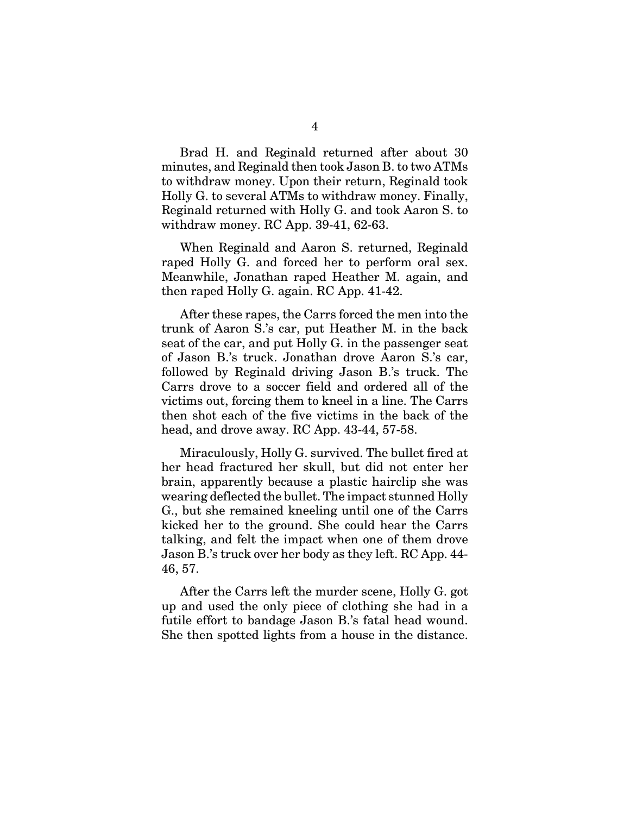Brad H. and Reginald returned after about 30 minutes, and Reginald then took Jason B. to two ATMs to withdraw money. Upon their return, Reginald took Holly G. to several ATMs to withdraw money. Finally, Reginald returned with Holly G. and took Aaron S. to withdraw money. RC App. 39-41, 62-63.

When Reginald and Aaron S. returned, Reginald raped Holly G. and forced her to perform oral sex. Meanwhile, Jonathan raped Heather M. again, and then raped Holly G. again. RC App. 41-42.

After these rapes, the Carrs forced the men into the trunk of Aaron S.'s car, put Heather M. in the back seat of the car, and put Holly G. in the passenger seat of Jason B.'s truck. Jonathan drove Aaron S.'s car, followed by Reginald driving Jason B.'s truck. The Carrs drove to a soccer field and ordered all of the victims out, forcing them to kneel in a line. The Carrs then shot each of the five victims in the back of the head, and drove away. RC App. 43-44, 57-58.

Miraculously, Holly G. survived. The bullet fired at her head fractured her skull, but did not enter her brain, apparently because a plastic hairclip she was wearing deflected the bullet. The impact stunned Holly G., but she remained kneeling until one of the Carrs kicked her to the ground. She could hear the Carrs talking, and felt the impact when one of them drove Jason B.'s truck over her body as they left. RC App. 44- 46, 57.

After the Carrs left the murder scene, Holly G. got up and used the only piece of clothing she had in a futile effort to bandage Jason B.'s fatal head wound. She then spotted lights from a house in the distance.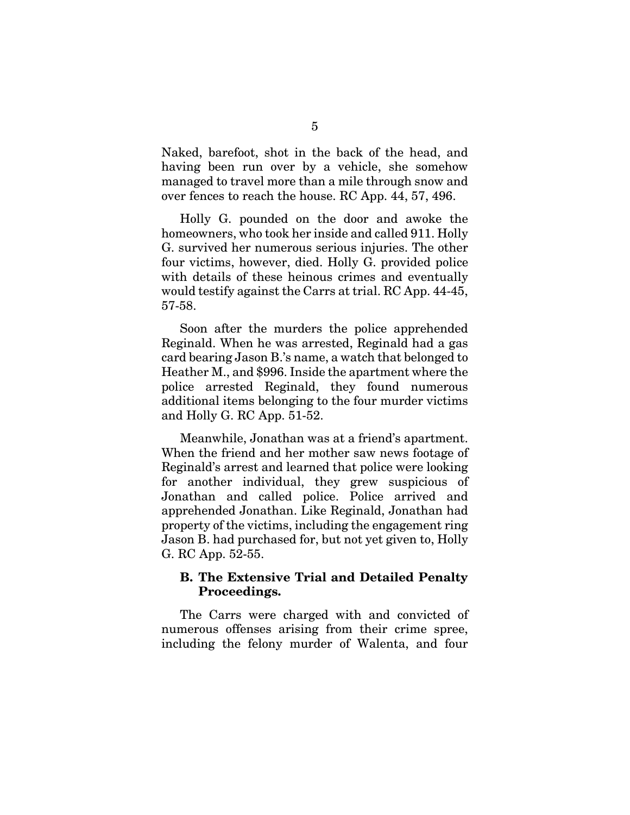Naked, barefoot, shot in the back of the head, and having been run over by a vehicle, she somehow managed to travel more than a mile through snow and over fences to reach the house. RC App. 44, 57, 496.

Holly G. pounded on the door and awoke the homeowners, who took her inside and called 911. Holly G. survived her numerous serious injuries. The other four victims, however, died. Holly G. provided police with details of these heinous crimes and eventually would testify against the Carrs at trial. RC App. 44-45, 57-58.

Soon after the murders the police apprehended Reginald. When he was arrested, Reginald had a gas card bearing Jason B.'s name, a watch that belonged to Heather M., and \$996. Inside the apartment where the police arrested Reginald, they found numerous additional items belonging to the four murder victims and Holly G. RC App. 51-52.

Meanwhile, Jonathan was at a friend's apartment. When the friend and her mother saw news footage of Reginald's arrest and learned that police were looking for another individual, they grew suspicious of Jonathan and called police. Police arrived and apprehended Jonathan. Like Reginald, Jonathan had property of the victims, including the engagement ring Jason B. had purchased for, but not yet given to, Holly G. RC App. 52-55.

### **B. The Extensive Trial and Detailed Penalty Proceedings.**

The Carrs were charged with and convicted of numerous offenses arising from their crime spree, including the felony murder of Walenta, and four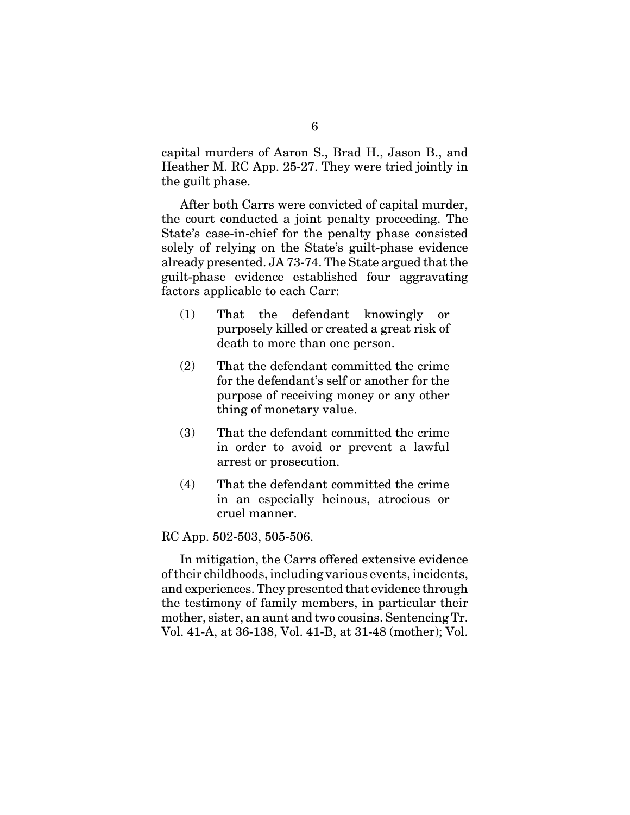capital murders of Aaron S., Brad H., Jason B., and Heather M. RC App. 25-27. They were tried jointly in the guilt phase.

After both Carrs were convicted of capital murder, the court conducted a joint penalty proceeding. The State's case-in-chief for the penalty phase consisted solely of relying on the State's guilt-phase evidence already presented. JA 73-74. The State argued that the guilt-phase evidence established four aggravating factors applicable to each Carr:

- (1) That the defendant knowingly or purposely killed or created a great risk of death to more than one person.
- (2) That the defendant committed the crime for the defendant's self or another for the purpose of receiving money or any other thing of monetary value.
- (3) That the defendant committed the crime in order to avoid or prevent a lawful arrest or prosecution.
- (4) That the defendant committed the crime in an especially heinous, atrocious or cruel manner.

RC App. 502-503, 505-506.

In mitigation, the Carrs offered extensive evidence of their childhoods, including various events, incidents, and experiences. They presented that evidence through the testimony of family members, in particular their mother, sister, an aunt and two cousins. Sentencing Tr. Vol. 41-A, at 36-138, Vol. 41-B, at 31-48 (mother); Vol.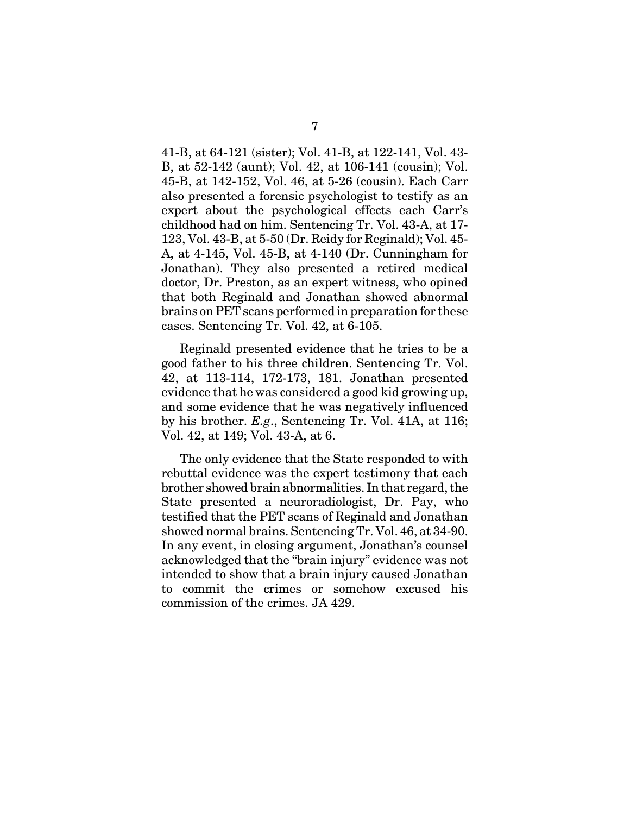41-B, at 64-121 (sister); Vol. 41-B, at 122-141, Vol. 43- B, at 52-142 (aunt); Vol. 42, at 106-141 (cousin); Vol. 45-B, at 142-152, Vol. 46, at 5-26 (cousin). Each Carr also presented a forensic psychologist to testify as an expert about the psychological effects each Carr's childhood had on him. Sentencing Tr. Vol. 43-A, at 17- 123, Vol. 43-B, at 5-50 (Dr. Reidy for Reginald); Vol. 45- A, at 4-145, Vol. 45-B, at 4-140 (Dr. Cunningham for Jonathan). They also presented a retired medical doctor, Dr. Preston, as an expert witness, who opined that both Reginald and Jonathan showed abnormal brains on PET scans performed in preparation for these cases. Sentencing Tr. Vol. 42, at 6-105.

Reginald presented evidence that he tries to be a good father to his three children. Sentencing Tr. Vol. 42, at 113-114, 172-173, 181. Jonathan presented evidence that he was considered a good kid growing up, and some evidence that he was negatively influenced by his brother. *E.g*., Sentencing Tr. Vol. 41A, at 116; Vol. 42, at 149; Vol. 43-A, at 6.

The only evidence that the State responded to with rebuttal evidence was the expert testimony that each brother showed brain abnormalities. In that regard, the State presented a neuroradiologist, Dr. Pay, who testified that the PET scans of Reginald and Jonathan showed normal brains. Sentencing Tr. Vol. 46, at 34-90. In any event, in closing argument, Jonathan's counsel acknowledged that the "brain injury" evidence was not intended to show that a brain injury caused Jonathan to commit the crimes or somehow excused his commission of the crimes. JA 429.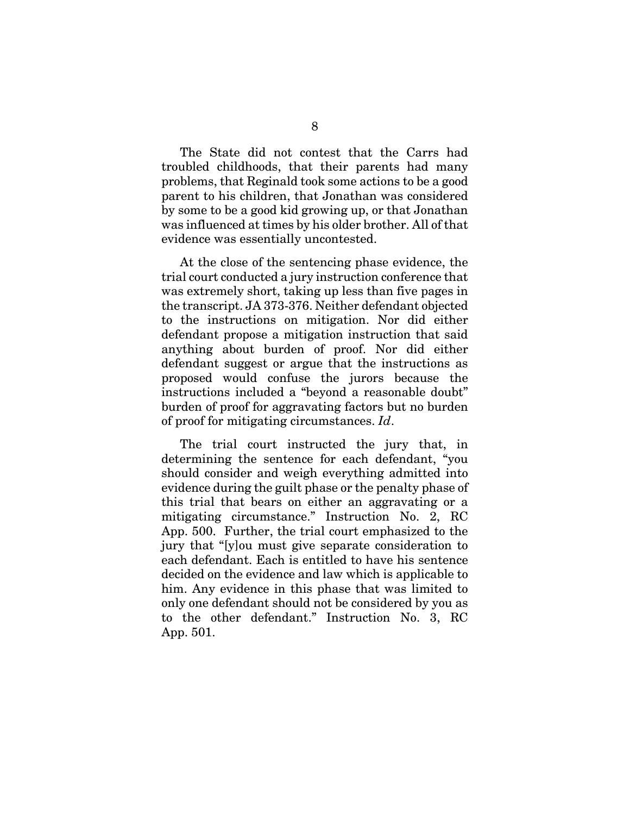The State did not contest that the Carrs had troubled childhoods, that their parents had many problems, that Reginald took some actions to be a good parent to his children, that Jonathan was considered by some to be a good kid growing up, or that Jonathan was influenced at times by his older brother. All of that evidence was essentially uncontested.

At the close of the sentencing phase evidence, the trial court conducted a jury instruction conference that was extremely short, taking up less than five pages in the transcript. JA 373-376. Neither defendant objected to the instructions on mitigation. Nor did either defendant propose a mitigation instruction that said anything about burden of proof. Nor did either defendant suggest or argue that the instructions as proposed would confuse the jurors because the instructions included a "beyond a reasonable doubt" burden of proof for aggravating factors but no burden of proof for mitigating circumstances. *Id*.

The trial court instructed the jury that, in determining the sentence for each defendant, "you should consider and weigh everything admitted into evidence during the guilt phase or the penalty phase of this trial that bears on either an aggravating or a mitigating circumstance." Instruction No. 2, RC App. 500. Further, the trial court emphasized to the jury that "[y]ou must give separate consideration to each defendant. Each is entitled to have his sentence decided on the evidence and law which is applicable to him. Any evidence in this phase that was limited to only one defendant should not be considered by you as to the other defendant." Instruction No. 3, RC App. 501.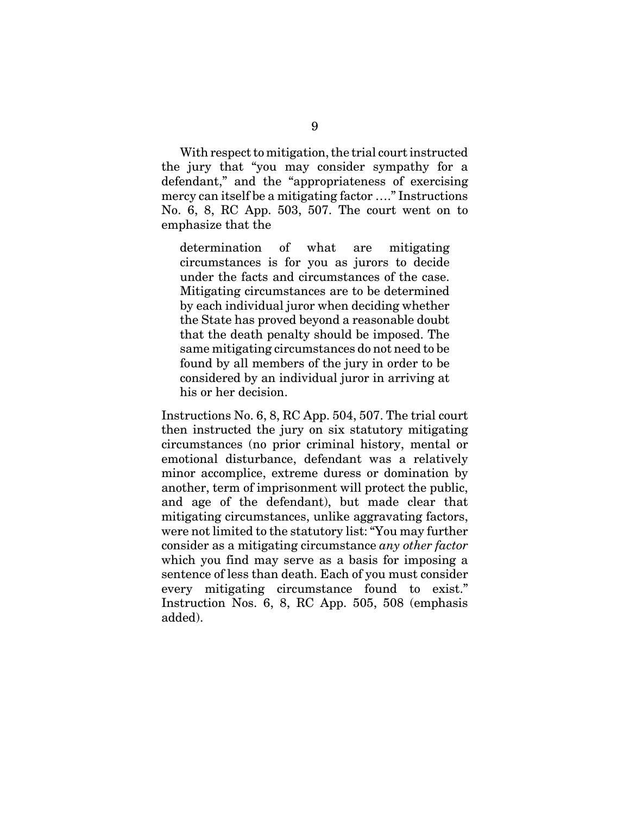With respect to mitigation, the trial court instructed the jury that "you may consider sympathy for a defendant," and the "appropriateness of exercising mercy can itself be a mitigating factor …." Instructions No. 6, 8, RC App. 503, 507. The court went on to emphasize that the

determination of what are mitigating circumstances is for you as jurors to decide under the facts and circumstances of the case. Mitigating circumstances are to be determined by each individual juror when deciding whether the State has proved beyond a reasonable doubt that the death penalty should be imposed. The same mitigating circumstances do not need to be found by all members of the jury in order to be considered by an individual juror in arriving at his or her decision.

Instructions No. 6, 8, RC App. 504, 507. The trial court then instructed the jury on six statutory mitigating circumstances (no prior criminal history, mental or emotional disturbance, defendant was a relatively minor accomplice, extreme duress or domination by another, term of imprisonment will protect the public, and age of the defendant), but made clear that mitigating circumstances, unlike aggravating factors, were not limited to the statutory list: "You may further consider as a mitigating circumstance *any other factor* which you find may serve as a basis for imposing a sentence of less than death. Each of you must consider every mitigating circumstance found to exist." Instruction Nos. 6, 8, RC App. 505, 508 (emphasis added).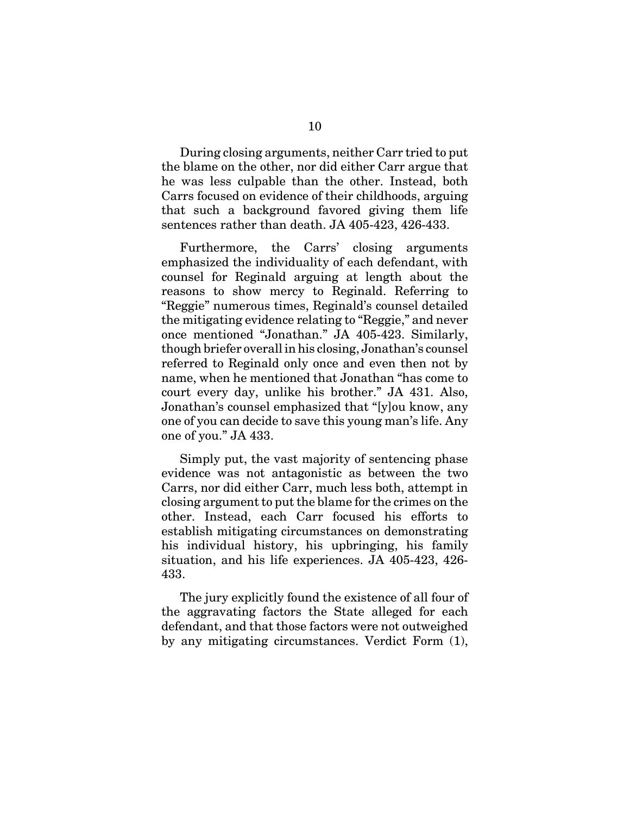During closing arguments, neither Carr tried to put the blame on the other, nor did either Carr argue that he was less culpable than the other. Instead, both Carrs focused on evidence of their childhoods, arguing that such a background favored giving them life sentences rather than death. JA 405-423, 426-433.

Furthermore, the Carrs' closing arguments emphasized the individuality of each defendant, with counsel for Reginald arguing at length about the reasons to show mercy to Reginald. Referring to "Reggie" numerous times, Reginald's counsel detailed the mitigating evidence relating to "Reggie," and never once mentioned "Jonathan." JA 405-423. Similarly, though briefer overall in his closing, Jonathan's counsel referred to Reginald only once and even then not by name, when he mentioned that Jonathan "has come to court every day, unlike his brother." JA 431. Also, Jonathan's counsel emphasized that "[y]ou know, any one of you can decide to save this young man's life. Any one of you." JA 433.

Simply put, the vast majority of sentencing phase evidence was not antagonistic as between the two Carrs, nor did either Carr, much less both, attempt in closing argument to put the blame for the crimes on the other. Instead, each Carr focused his efforts to establish mitigating circumstances on demonstrating his individual history, his upbringing, his family situation, and his life experiences. JA 405-423, 426- 433.

The jury explicitly found the existence of all four of the aggravating factors the State alleged for each defendant, and that those factors were not outweighed by any mitigating circumstances. Verdict Form (1),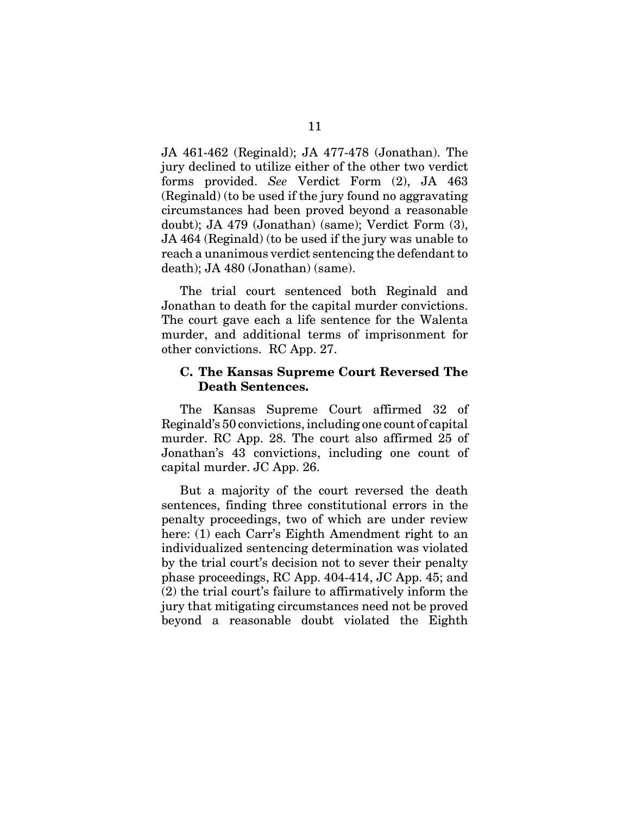JA 461-462 (Reginald); JA 477-478 (Jonathan). The jury declined to utilize either of the other two verdict forms provided. *See* Verdict Form (2), JA 463 (Reginald) (to be used if the jury found no aggravating circumstances had been proved beyond a reasonable doubt); JA 479 (Jonathan) (same); Verdict Form (3), JA 464 (Reginald) (to be used if the jury was unable to reach a unanimous verdict sentencing the defendant to death); JA 480 (Jonathan) (same).

The trial court sentenced both Reginald and Jonathan to death for the capital murder convictions. The court gave each a life sentence for the Walenta murder, and additional terms of imprisonment for other convictions. RC App. 27.

#### **C. The Kansas Supreme Court Reversed The Death Sentences.**

The Kansas Supreme Court affirmed 32 of Reginald's 50 convictions, including one count of capital murder. RC App. 28. The court also affirmed 25 of Jonathan's 43 convictions, including one count of capital murder. JC App. 26.

But a majority of the court reversed the death sentences, finding three constitutional errors in the penalty proceedings, two of which are under review here: (1) each Carr's Eighth Amendment right to an individualized sentencing determination was violated by the trial court's decision not to sever their penalty phase proceedings, RC App. 404-414, JC App. 45; and (2) the trial court's failure to affirmatively inform the jury that mitigating circumstances need not be proved beyond a reasonable doubt violated the Eighth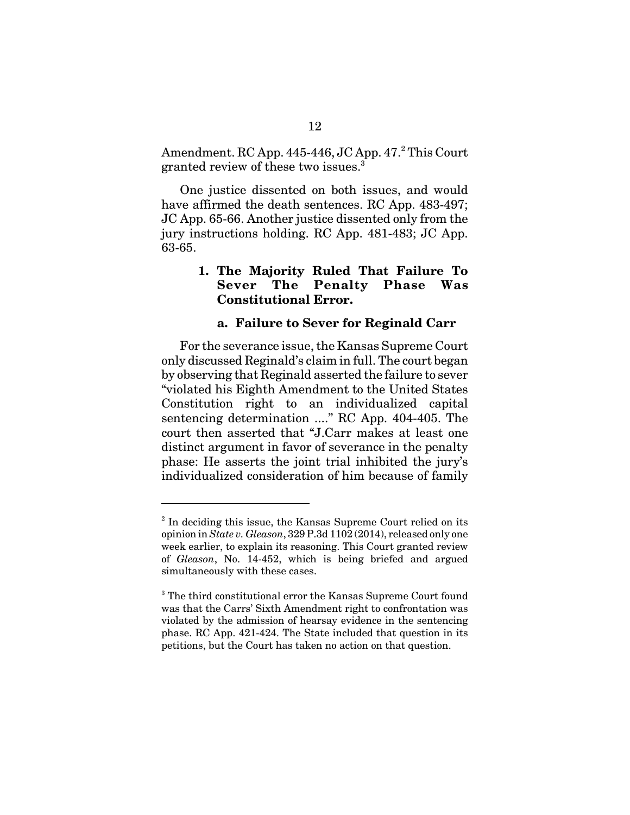Amendment. RC App. 445-446, JC App. 47.<sup>2</sup> This Court granted review of these two issues.3

One justice dissented on both issues, and would have affirmed the death sentences. RC App. 483-497; JC App. 65-66. Another justice dissented only from the jury instructions holding. RC App. 481-483; JC App. 63-65.

### **1. The Majority Ruled That Failure To Sever The Penalty Phase Was Constitutional Error.**

#### **a. Failure to Sever for Reginald Carr**

For the severance issue, the Kansas Supreme Court only discussed Reginald's claim in full. The court began by observing that Reginald asserted the failure to sever "violated his Eighth Amendment to the United States Constitution right to an individualized capital sentencing determination ...." RC App. 404-405. The court then asserted that "J.Carr makes at least one distinct argument in favor of severance in the penalty phase: He asserts the joint trial inhibited the jury's individualized consideration of him because of family

<sup>&</sup>lt;sup>2</sup> In deciding this issue, the Kansas Supreme Court relied on its opinion in *State v. Gleason*, 329 P.3d 1102 (2014), released only one week earlier, to explain its reasoning. This Court granted review of *Gleason*, No. 14-452, which is being briefed and argued simultaneously with these cases.

<sup>&</sup>lt;sup>3</sup> The third constitutional error the Kansas Supreme Court found was that the Carrs' Sixth Amendment right to confrontation was violated by the admission of hearsay evidence in the sentencing phase. RC App. 421-424. The State included that question in its petitions, but the Court has taken no action on that question.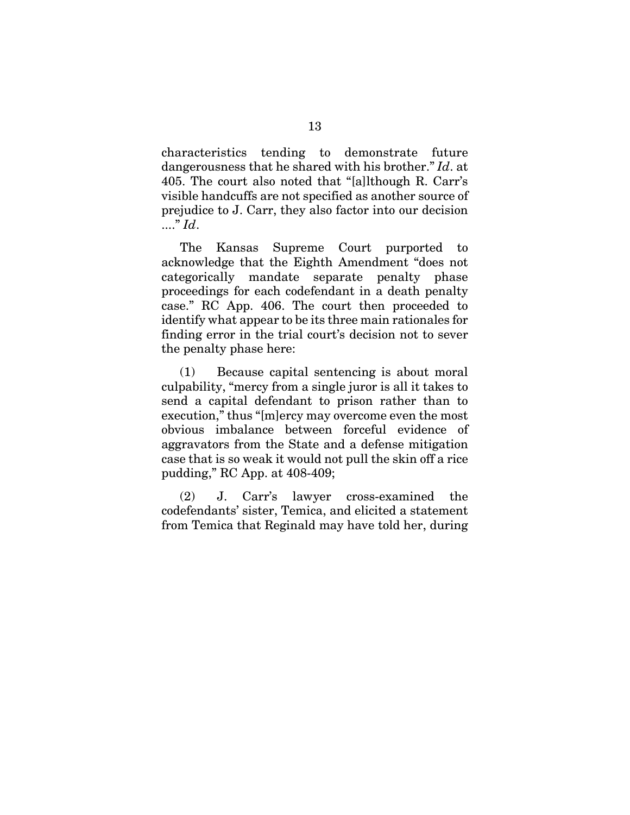characteristics tending to demonstrate future dangerousness that he shared with his brother." *Id*. at 405. The court also noted that "[a]lthough R. Carr's visible handcuffs are not specified as another source of prejudice to J. Carr, they also factor into our decision ...." *Id*.

The Kansas Supreme Court purported to acknowledge that the Eighth Amendment "does not categorically mandate separate penalty phase proceedings for each codefendant in a death penalty case." RC App. 406. The court then proceeded to identify what appear to be its three main rationales for finding error in the trial court's decision not to sever the penalty phase here:

(1) Because capital sentencing is about moral culpability, "mercy from a single juror is all it takes to send a capital defendant to prison rather than to execution," thus "[m]ercy may overcome even the most obvious imbalance between forceful evidence of aggravators from the State and a defense mitigation case that is so weak it would not pull the skin off a rice pudding," RC App. at 408-409;

(2) J. Carr's lawyer cross-examined the codefendants' sister, Temica, and elicited a statement from Temica that Reginald may have told her, during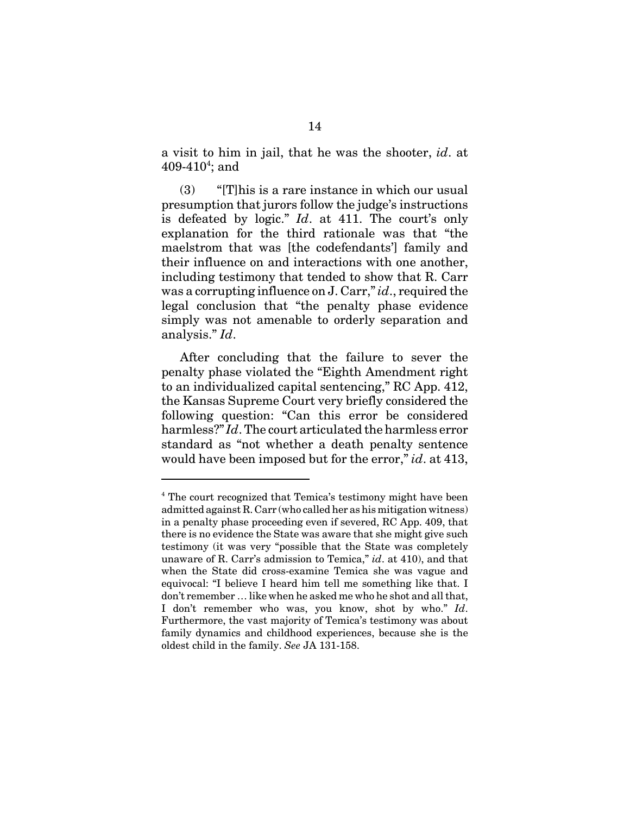a visit to him in jail, that he was the shooter, *id*. at  $409-410^{4}$ ; and

(3) "[T]his is a rare instance in which our usual presumption that jurors follow the judge's instructions is defeated by logic." *Id*. at 411. The court's only explanation for the third rationale was that "the maelstrom that was [the codefendants'] family and their influence on and interactions with one another, including testimony that tended to show that R. Carr was a corrupting influence on J. Carr," *id*., required the legal conclusion that "the penalty phase evidence simply was not amenable to orderly separation and analysis." *Id*.

After concluding that the failure to sever the penalty phase violated the "Eighth Amendment right to an individualized capital sentencing," RC App. 412, the Kansas Supreme Court very briefly considered the following question: "Can this error be considered harmless?" *Id*. The court articulated the harmless error standard as "not whether a death penalty sentence would have been imposed but for the error," *id*. at 413,

<sup>&</sup>lt;sup>4</sup> The court recognized that Temica's testimony might have been admitted against R. Carr (who called her as his mitigation witness) in a penalty phase proceeding even if severed, RC App. 409, that there is no evidence the State was aware that she might give such testimony (it was very "possible that the State was completely unaware of R. Carr's admission to Temica," *id*. at 410), and that when the State did cross-examine Temica she was vague and equivocal: "I believe I heard him tell me something like that. I don't remember … like when he asked me who he shot and all that, I don't remember who was, you know, shot by who." *Id*. Furthermore, the vast majority of Temica's testimony was about family dynamics and childhood experiences, because she is the oldest child in the family. *See* JA 131-158.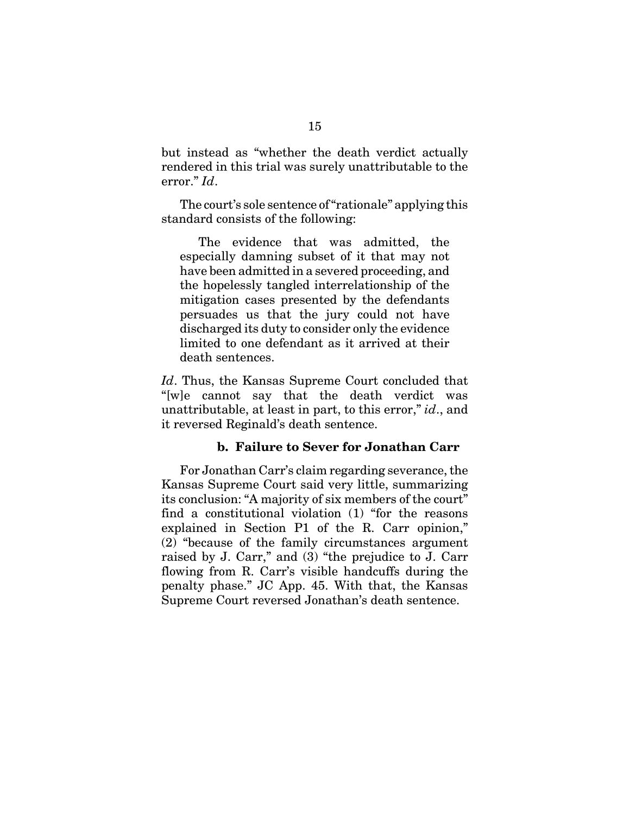but instead as "whether the death verdict actually rendered in this trial was surely unattributable to the error." *Id*.

The court's sole sentence of "rationale" applying this standard consists of the following:

The evidence that was admitted, the especially damning subset of it that may not have been admitted in a severed proceeding, and the hopelessly tangled interrelationship of the mitigation cases presented by the defendants persuades us that the jury could not have discharged its duty to consider only the evidence limited to one defendant as it arrived at their death sentences.

*Id*. Thus, the Kansas Supreme Court concluded that "[w]e cannot say that the death verdict was unattributable, at least in part, to this error," *id*., and it reversed Reginald's death sentence.

#### **b. Failure to Sever for Jonathan Carr**

For Jonathan Carr's claim regarding severance, the Kansas Supreme Court said very little, summarizing its conclusion: "A majority of six members of the court" find a constitutional violation (1) "for the reasons explained in Section P1 of the R. Carr opinion," (2) "because of the family circumstances argument raised by J. Carr," and (3) "the prejudice to J. Carr flowing from R. Carr's visible handcuffs during the penalty phase." JC App. 45. With that, the Kansas Supreme Court reversed Jonathan's death sentence.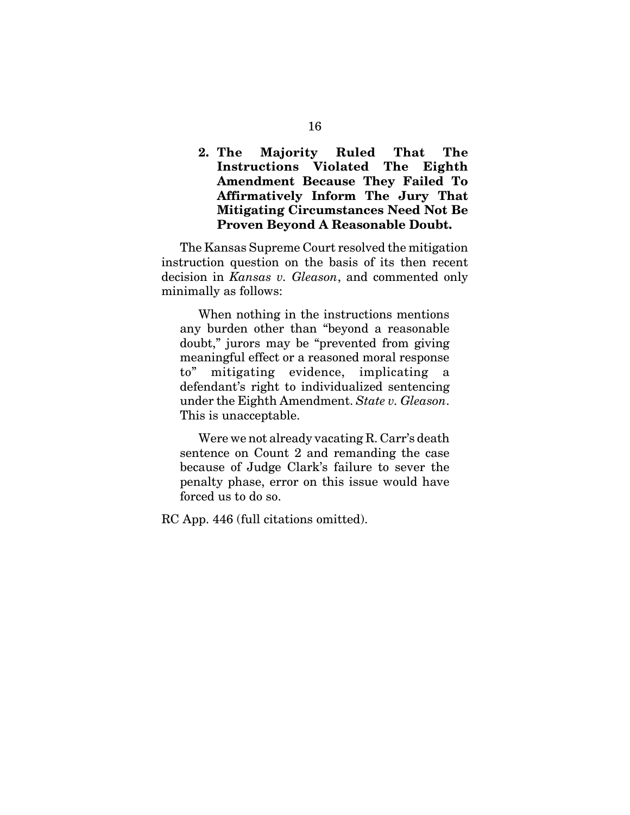**2. The Majority Ruled That The Instructions Violated The Eighth Amendment Because They Failed To Affirmatively Inform The Jury That Mitigating Circumstances Need Not Be Proven Beyond A Reasonable Doubt.**

The Kansas Supreme Court resolved the mitigation instruction question on the basis of its then recent decision in *Kansas v. Gleason*, and commented only minimally as follows:

When nothing in the instructions mentions any burden other than "beyond a reasonable doubt," jurors may be "prevented from giving meaningful effect or a reasoned moral response to" mitigating evidence, implicating a defendant's right to individualized sentencing under the Eighth Amendment. *State v. Gleason*. This is unacceptable.

Were we not already vacating R. Carr's death sentence on Count 2 and remanding the case because of Judge Clark's failure to sever the penalty phase, error on this issue would have forced us to do so.

RC App. 446 (full citations omitted).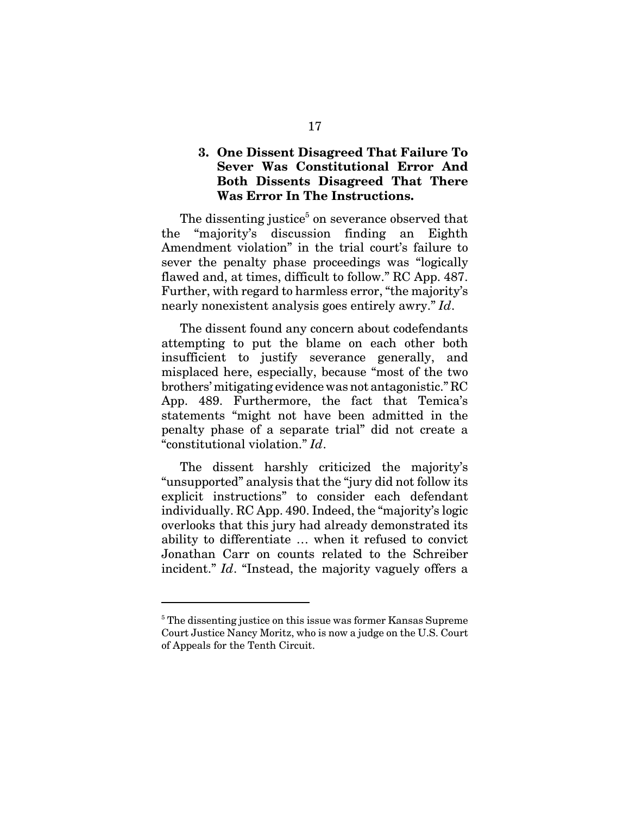## **3. One Dissent Disagreed That Failure To Sever Was Constitutional Error And Both Dissents Disagreed That There Was Error In The Instructions.**

The dissenting justice<sup>5</sup> on severance observed that the "majority's discussion finding an Eighth Amendment violation" in the trial court's failure to sever the penalty phase proceedings was "logically flawed and, at times, difficult to follow." RC App. 487. Further, with regard to harmless error, "the majority's nearly nonexistent analysis goes entirely awry." *Id*.

The dissent found any concern about codefendants attempting to put the blame on each other both insufficient to justify severance generally, and misplaced here, especially, because "most of the two brothers' mitigating evidence was not antagonistic." RC App. 489. Furthermore, the fact that Temica's statements "might not have been admitted in the penalty phase of a separate trial" did not create a "constitutional violation." *Id*.

The dissent harshly criticized the majority's "unsupported" analysis that the "jury did not follow its explicit instructions" to consider each defendant individually. RC App. 490. Indeed, the "majority's logic overlooks that this jury had already demonstrated its ability to differentiate … when it refused to convict Jonathan Carr on counts related to the Schreiber incident." *Id*. "Instead, the majority vaguely offers a

<sup>&</sup>lt;sup>5</sup> The dissenting justice on this issue was former Kansas Supreme Court Justice Nancy Moritz, who is now a judge on the U.S. Court of Appeals for the Tenth Circuit.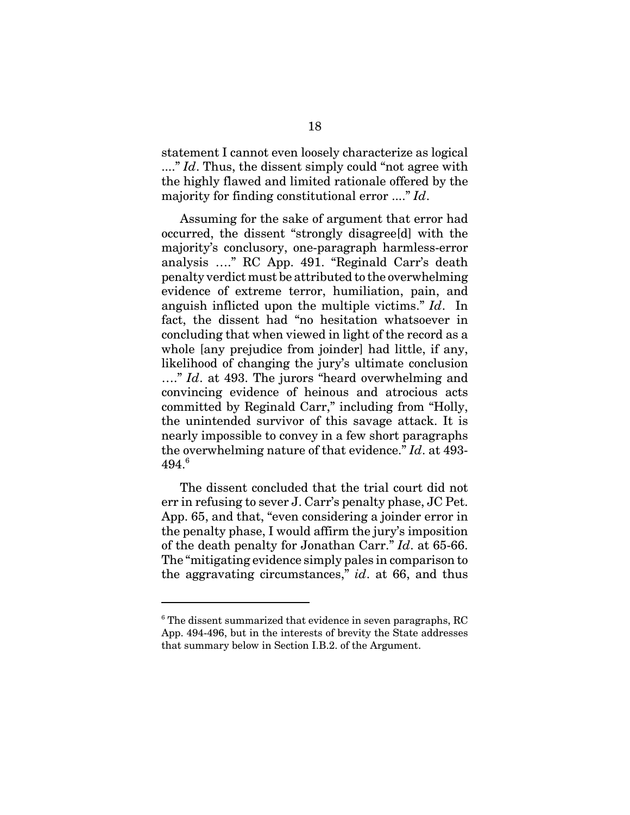statement I cannot even loosely characterize as logical ...." *Id*. Thus, the dissent simply could "not agree with" the highly flawed and limited rationale offered by the majority for finding constitutional error ...." *Id*.

Assuming for the sake of argument that error had occurred, the dissent "strongly disagree[d] with the majority's conclusory, one-paragraph harmless-error analysis …." RC App. 491. "Reginald Carr's death penalty verdict must be attributed to the overwhelming evidence of extreme terror, humiliation, pain, and anguish inflicted upon the multiple victims." *Id*. In fact, the dissent had "no hesitation whatsoever in concluding that when viewed in light of the record as a whole [any prejudice from joinder] had little, if any, likelihood of changing the jury's ultimate conclusion …." *Id*. at 493. The jurors "heard overwhelming and convincing evidence of heinous and atrocious acts committed by Reginald Carr," including from "Holly, the unintended survivor of this savage attack. It is nearly impossible to convey in a few short paragraphs the overwhelming nature of that evidence." *Id*. at 493- 494.<sup>6</sup>

The dissent concluded that the trial court did not err in refusing to sever J. Carr's penalty phase, JC Pet. App. 65, and that, "even considering a joinder error in the penalty phase, I would affirm the jury's imposition of the death penalty for Jonathan Carr." *Id*. at 65-66. The "mitigating evidence simply pales in comparison to the aggravating circumstances," *id*. at 66, and thus

<sup>&</sup>lt;sup>6</sup> The dissent summarized that evidence in seven paragraphs, RC App. 494-496, but in the interests of brevity the State addresses that summary below in Section I.B.2. of the Argument.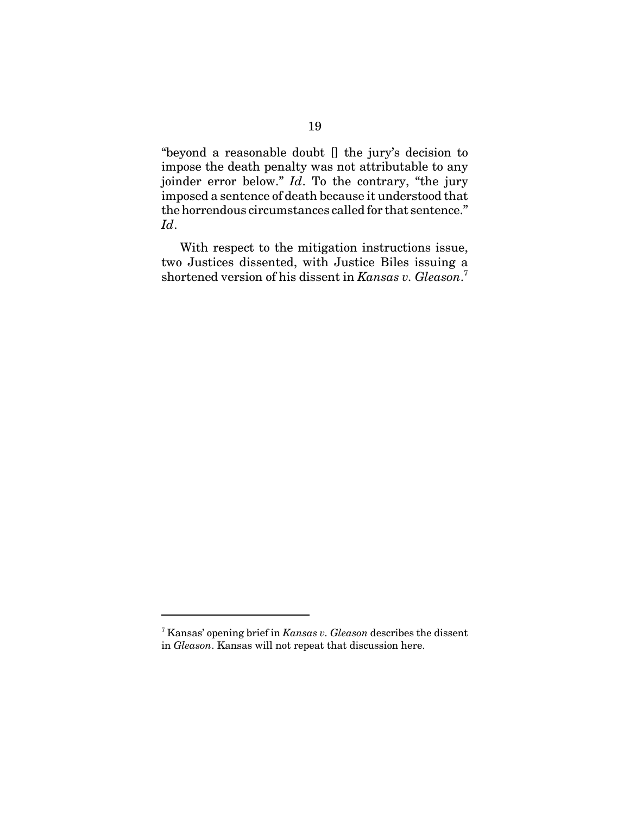"beyond a reasonable doubt [] the jury's decision to impose the death penalty was not attributable to any joinder error below." *Id*. To the contrary, "the jury imposed a sentence of death because it understood that the horrendous circumstances called for that sentence." *Id*.

With respect to the mitigation instructions issue, two Justices dissented, with Justice Biles issuing a shortened version of his dissent in *Kansas v. Gleason*. 7

<sup>7</sup> Kansas' opening brief in *Kansas v. Gleason* describes the dissent in *Gleason*. Kansas will not repeat that discussion here.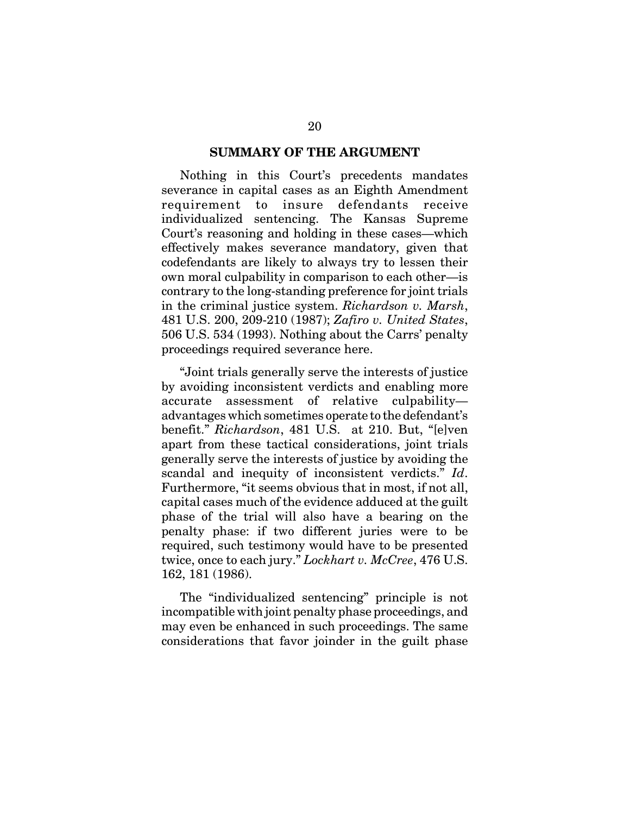#### **SUMMARY OF THE ARGUMENT**

Nothing in this Court's precedents mandates severance in capital cases as an Eighth Amendment requirement to insure defendants receive individualized sentencing. The Kansas Supreme Court's reasoning and holding in these cases—which effectively makes severance mandatory, given that codefendants are likely to always try to lessen their own moral culpability in comparison to each other—is contrary to the long-standing preference for joint trials in the criminal justice system. *Richardson v. Marsh*, 481 U.S. 200, 209-210 (1987); *Zafiro v. United States*, 506 U.S. 534 (1993). Nothing about the Carrs' penalty proceedings required severance here.

"Joint trials generally serve the interests of justice by avoiding inconsistent verdicts and enabling more accurate assessment of relative culpability advantages which sometimes operate to the defendant's benefit." *Richardson*, 481 U.S. at 210. But, "[e]ven apart from these tactical considerations, joint trials generally serve the interests of justice by avoiding the scandal and inequity of inconsistent verdicts." *Id*. Furthermore, "it seems obvious that in most, if not all, capital cases much of the evidence adduced at the guilt phase of the trial will also have a bearing on the penalty phase: if two different juries were to be required, such testimony would have to be presented twice, once to each jury." *Lockhart v. McCree*, 476 U.S. 162, 181 (1986).

The "individualized sentencing" principle is not incompatible with joint penalty phase proceedings, and may even be enhanced in such proceedings. The same considerations that favor joinder in the guilt phase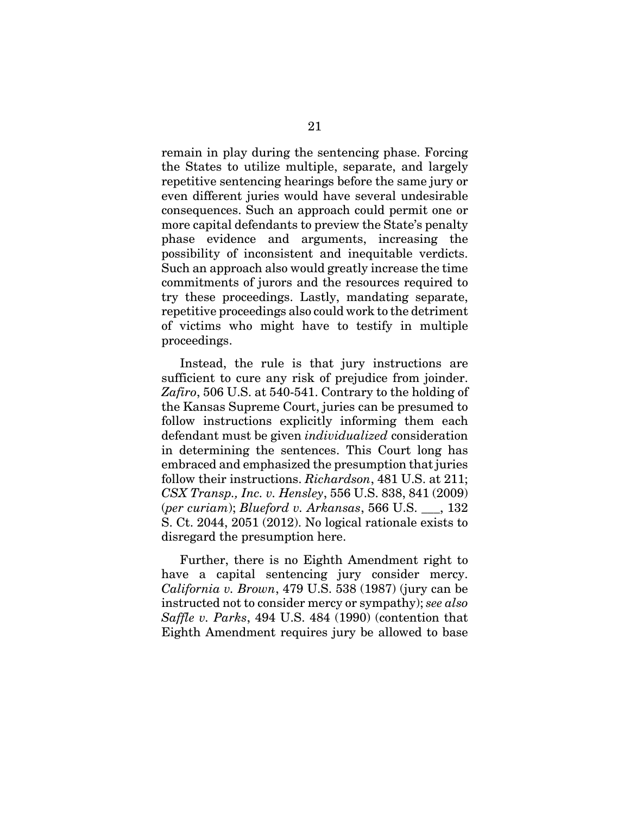remain in play during the sentencing phase. Forcing the States to utilize multiple, separate, and largely repetitive sentencing hearings before the same jury or even different juries would have several undesirable consequences. Such an approach could permit one or more capital defendants to preview the State's penalty phase evidence and arguments, increasing the possibility of inconsistent and inequitable verdicts. Such an approach also would greatly increase the time commitments of jurors and the resources required to try these proceedings. Lastly, mandating separate, repetitive proceedings also could work to the detriment of victims who might have to testify in multiple proceedings.

Instead, the rule is that jury instructions are sufficient to cure any risk of prejudice from joinder. *Zafiro*, 506 U.S. at 540-541. Contrary to the holding of the Kansas Supreme Court, juries can be presumed to follow instructions explicitly informing them each defendant must be given *individualized* consideration in determining the sentences. This Court long has embraced and emphasized the presumption that juries follow their instructions. *Richardson*, 481 U.S. at 211; *CSX Transp., Inc. v. Hensley*, 556 U.S. 838, 841 (2009) (*per curiam*); *Blueford v. Arkansas*, 566 U.S. \_\_\_, 132 S. Ct. 2044, 2051 (2012). No logical rationale exists to disregard the presumption here.

Further, there is no Eighth Amendment right to have a capital sentencing jury consider mercy. *California v. Brown*, 479 U.S. 538 (1987) (jury can be instructed not to consider mercy or sympathy); *see also Saffle v. Parks*, 494 U.S. 484 (1990) (contention that Eighth Amendment requires jury be allowed to base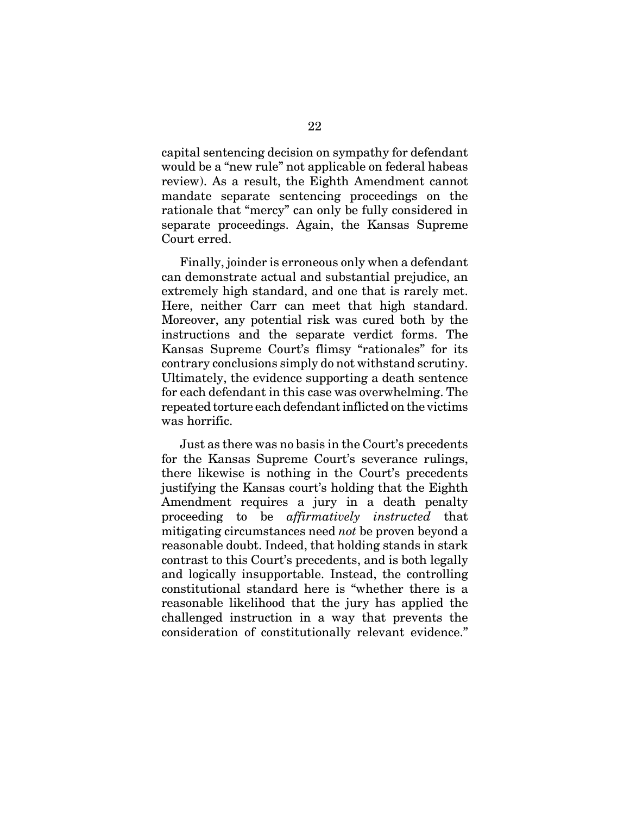capital sentencing decision on sympathy for defendant would be a "new rule" not applicable on federal habeas review). As a result, the Eighth Amendment cannot mandate separate sentencing proceedings on the rationale that "mercy" can only be fully considered in separate proceedings. Again, the Kansas Supreme Court erred.

Finally, joinder is erroneous only when a defendant can demonstrate actual and substantial prejudice, an extremely high standard, and one that is rarely met. Here, neither Carr can meet that high standard. Moreover, any potential risk was cured both by the instructions and the separate verdict forms. The Kansas Supreme Court's flimsy "rationales" for its contrary conclusions simply do not withstand scrutiny. Ultimately, the evidence supporting a death sentence for each defendant in this case was overwhelming. The repeated torture each defendant inflicted on the victims was horrific.

Just as there was no basis in the Court's precedents for the Kansas Supreme Court's severance rulings, there likewise is nothing in the Court's precedents justifying the Kansas court's holding that the Eighth Amendment requires a jury in a death penalty proceeding to be *affirmatively instructed* that mitigating circumstances need *not* be proven beyond a reasonable doubt. Indeed, that holding stands in stark contrast to this Court's precedents, and is both legally and logically insupportable. Instead, the controlling constitutional standard here is "whether there is a reasonable likelihood that the jury has applied the challenged instruction in a way that prevents the consideration of constitutionally relevant evidence."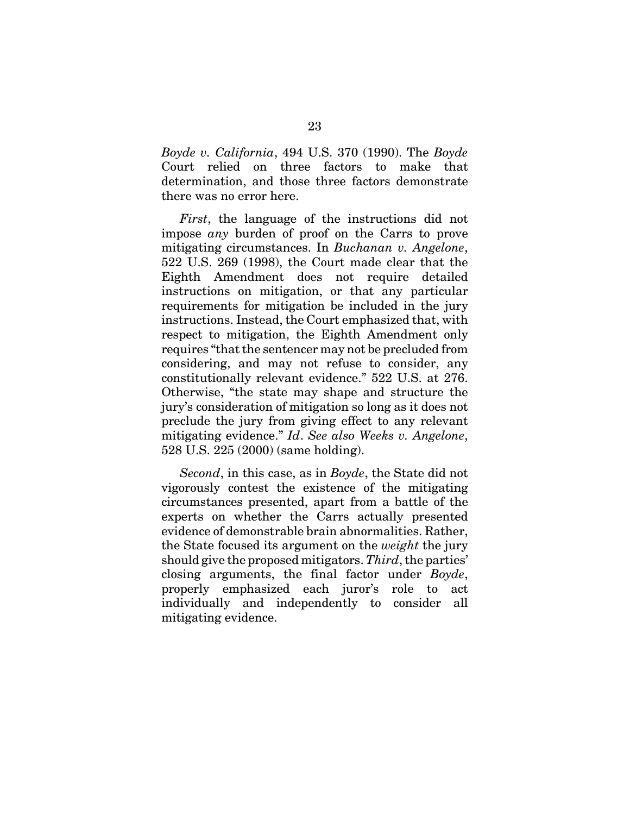*Boyde v. California*, 494 U.S. 370 (1990). The *Boyde* Court relied on three factors to make that determination, and those three factors demonstrate there was no error here.

*First*, the language of the instructions did not impose *any* burden of proof on the Carrs to prove mitigating circumstances. In *Buchanan v. Angelone*, 522 U.S. 269 (1998), the Court made clear that the Eighth Amendment does not require detailed instructions on mitigation, or that any particular requirements for mitigation be included in the jury instructions. Instead, the Court emphasized that, with respect to mitigation, the Eighth Amendment only requires "that the sentencer may not be precluded from considering, and may not refuse to consider, any constitutionally relevant evidence." 522 U.S. at 276. Otherwise, "the state may shape and structure the jury's consideration of mitigation so long as it does not preclude the jury from giving effect to any relevant mitigating evidence." *Id*. *See also Weeks v. Angelone*, 528 U.S. 225 (2000) (same holding).

*Second*, in this case, as in *Boyde*, the State did not vigorously contest the existence of the mitigating circumstances presented, apart from a battle of the experts on whether the Carrs actually presented evidence of demonstrable brain abnormalities. Rather, the State focused its argument on the *weight* the jury should give the proposed mitigators. *Third*, the parties' closing arguments, the final factor under *Boyde*, properly emphasized each juror's role to act individually and independently to consider all mitigating evidence.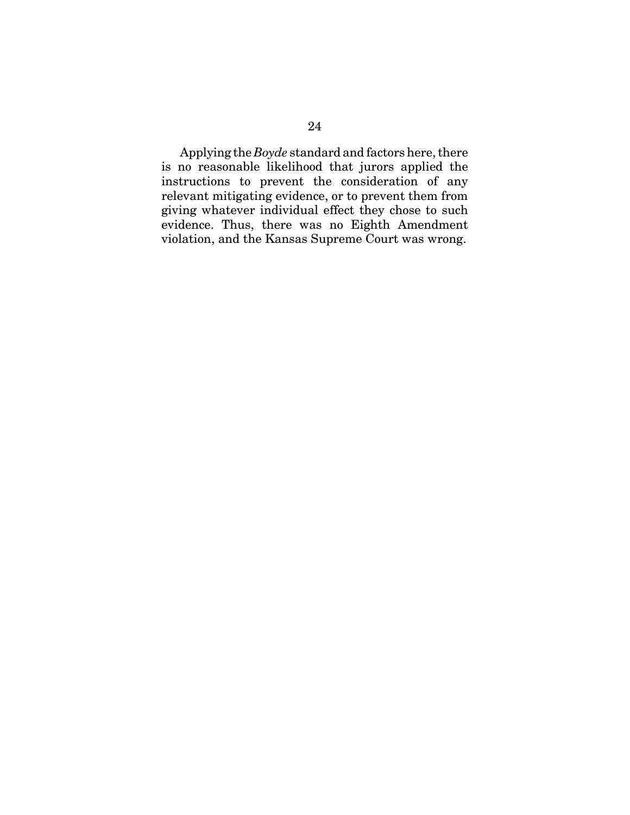Applying the *Boyde* standard and factors here, there is no reasonable likelihood that jurors applied the instructions to prevent the consideration of any relevant mitigating evidence, or to prevent them from giving whatever individual effect they chose to such evidence. Thus, there was no Eighth Amendment violation, and the Kansas Supreme Court was wrong.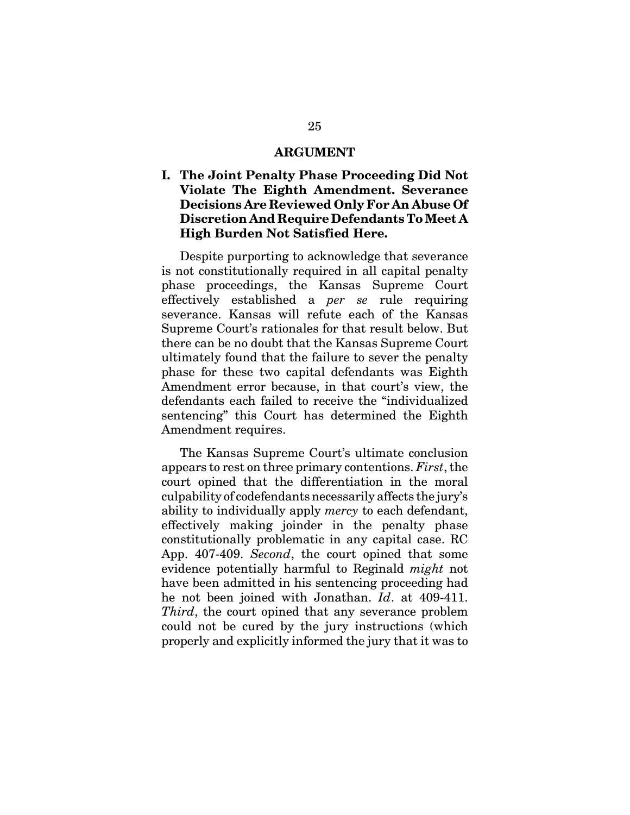#### **ARGUMENT**

## **I. The Joint Penalty Phase Proceeding Did Not Violate The Eighth Amendment. Severance Decisions Are Reviewed Only For An Abuse Of Discretion And Require Defendants To Meet A High Burden Not Satisfied Here.**

Despite purporting to acknowledge that severance is not constitutionally required in all capital penalty phase proceedings, the Kansas Supreme Court effectively established a *per se* rule requiring severance. Kansas will refute each of the Kansas Supreme Court's rationales for that result below. But there can be no doubt that the Kansas Supreme Court ultimately found that the failure to sever the penalty phase for these two capital defendants was Eighth Amendment error because, in that court's view, the defendants each failed to receive the "individualized sentencing" this Court has determined the Eighth Amendment requires.

The Kansas Supreme Court's ultimate conclusion appears to rest on three primary contentions. *First*, the court opined that the differentiation in the moral culpability of codefendants necessarily affects the jury's ability to individually apply *mercy* to each defendant, effectively making joinder in the penalty phase constitutionally problematic in any capital case. RC App. 407-409. *Second*, the court opined that some evidence potentially harmful to Reginald *might* not have been admitted in his sentencing proceeding had he not been joined with Jonathan. *Id*. at 409-411. *Third*, the court opined that any severance problem could not be cured by the jury instructions (which properly and explicitly informed the jury that it was to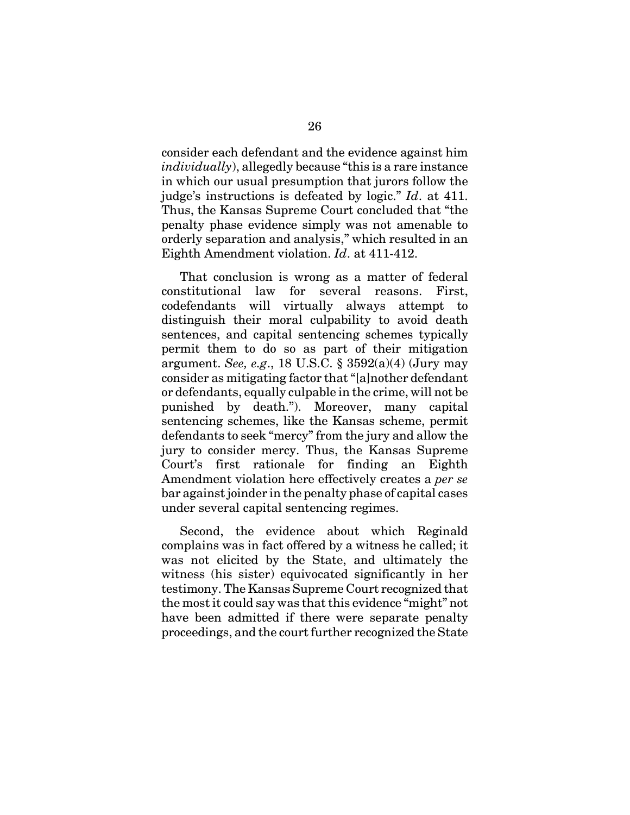consider each defendant and the evidence against him *individually*), allegedly because "this is a rare instance in which our usual presumption that jurors follow the judge's instructions is defeated by logic." *Id*. at 411. Thus, the Kansas Supreme Court concluded that "the penalty phase evidence simply was not amenable to orderly separation and analysis," which resulted in an Eighth Amendment violation. *Id*. at 411-412.

That conclusion is wrong as a matter of federal constitutional law for several reasons. First, codefendants will virtually always attempt to distinguish their moral culpability to avoid death sentences, and capital sentencing schemes typically permit them to do so as part of their mitigation argument. *See, e.g*., 18 U.S.C. § 3592(a)(4) (Jury may consider as mitigating factor that "[a]nother defendant or defendants, equally culpable in the crime, will not be punished by death."). Moreover, many capital sentencing schemes, like the Kansas scheme, permit defendants to seek "mercy" from the jury and allow the jury to consider mercy. Thus, the Kansas Supreme Court's first rationale for finding an Eighth Amendment violation here effectively creates a *per se* bar against joinder in the penalty phase of capital cases under several capital sentencing regimes.

Second, the evidence about which Reginald complains was in fact offered by a witness he called; it was not elicited by the State, and ultimately the witness (his sister) equivocated significantly in her testimony. The Kansas Supreme Court recognized that the most it could say was that this evidence "might" not have been admitted if there were separate penalty proceedings, and the court further recognized the State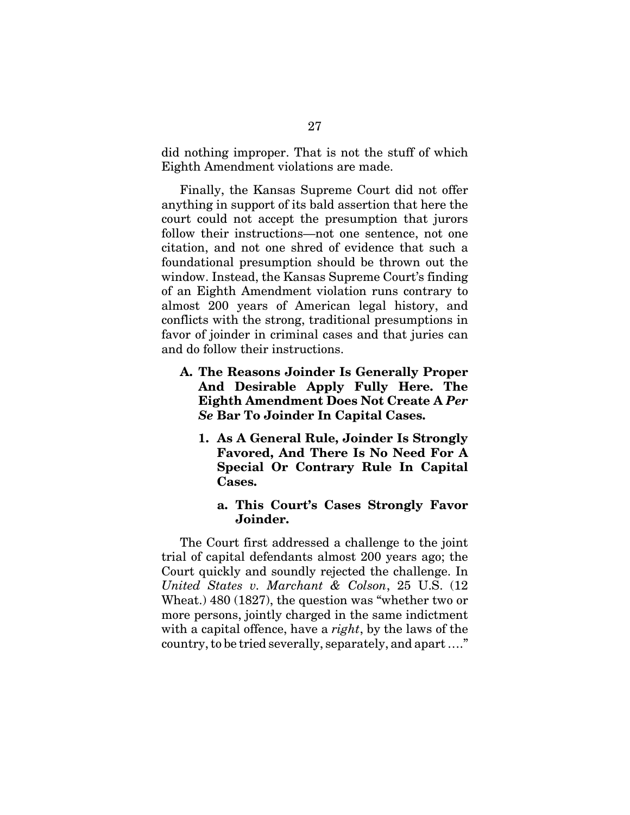did nothing improper. That is not the stuff of which Eighth Amendment violations are made.

Finally, the Kansas Supreme Court did not offer anything in support of its bald assertion that here the court could not accept the presumption that jurors follow their instructions—not one sentence, not one citation, and not one shred of evidence that such a foundational presumption should be thrown out the window. Instead, the Kansas Supreme Court's finding of an Eighth Amendment violation runs contrary to almost 200 years of American legal history, and conflicts with the strong, traditional presumptions in favor of joinder in criminal cases and that juries can and do follow their instructions.

- **A. The Reasons Joinder Is Generally Proper And Desirable Apply Fully Here. The Eighth Amendment Does Not Create A** *Per Se* **Bar To Joinder In Capital Cases.**
	- **1. As A General Rule, Joinder Is Strongly Favored, And There Is No Need For A Special Or Contrary Rule In Capital Cases.**

### **a. This Court's Cases Strongly Favor Joinder.**

The Court first addressed a challenge to the joint trial of capital defendants almost 200 years ago; the Court quickly and soundly rejected the challenge. In *United States v. Marchant & Colson*, 25 U.S. (12 Wheat.) 480 (1827), the question was "whether two or more persons, jointly charged in the same indictment with a capital offence, have a *right*, by the laws of the country, to be tried severally, separately, and apart …."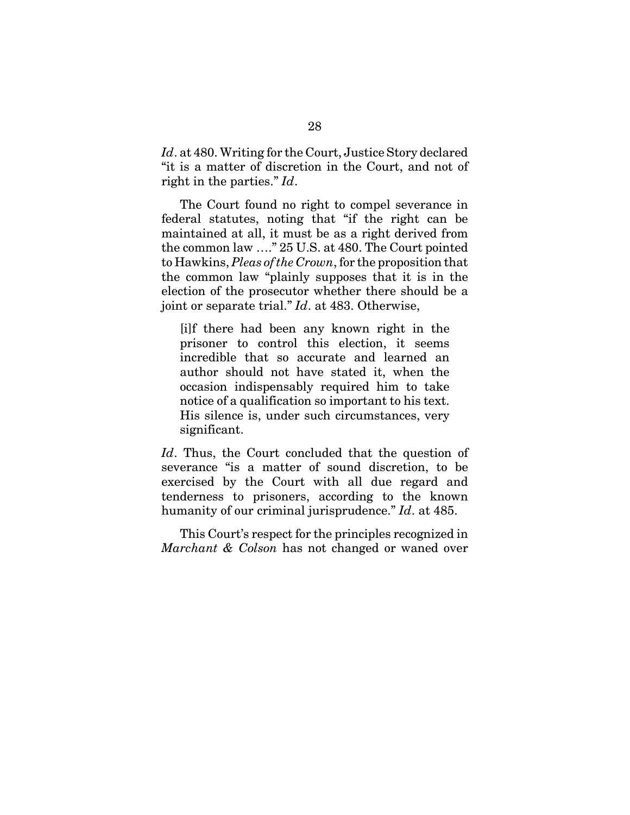*Id*. at 480. Writing for the Court, Justice Story declared "it is a matter of discretion in the Court, and not of right in the parties." *Id*.

The Court found no right to compel severance in federal statutes, noting that "if the right can be maintained at all, it must be as a right derived from the common law …." 25 U.S. at 480. The Court pointed to Hawkins, *Pleas of the Crown*, for the proposition that the common law "plainly supposes that it is in the election of the prosecutor whether there should be a joint or separate trial." *Id*. at 483. Otherwise,

[i]f there had been any known right in the prisoner to control this election, it seems incredible that so accurate and learned an author should not have stated it, when the occasion indispensably required him to take notice of a qualification so important to his text. His silence is, under such circumstances, very significant.

*Id*. Thus, the Court concluded that the question of severance "is a matter of sound discretion, to be exercised by the Court with all due regard and tenderness to prisoners, according to the known humanity of our criminal jurisprudence." *Id*. at 485.

This Court's respect for the principles recognized in *Marchant & Colson* has not changed or waned over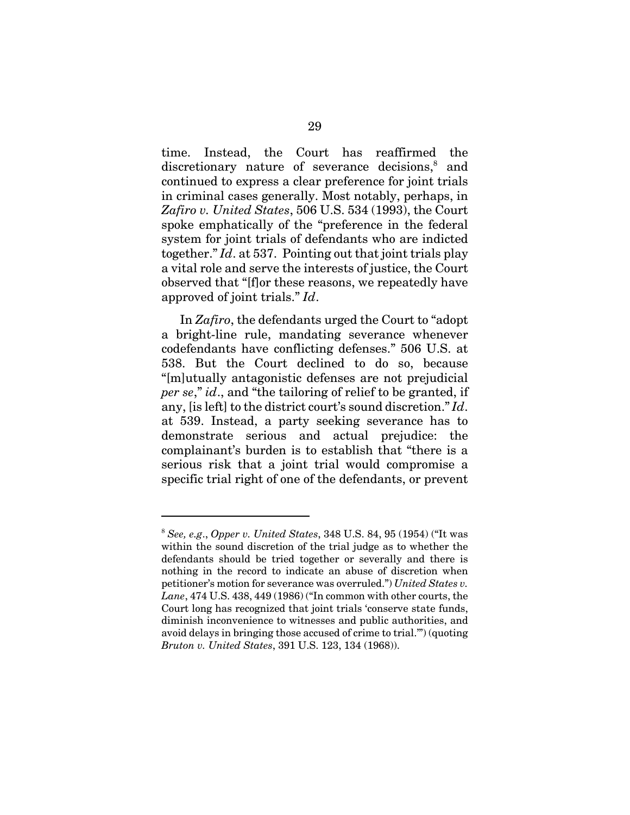time. Instead, the Court has reaffirmed the discretionary nature of severance decisions,<sup>8</sup> and continued to express a clear preference for joint trials in criminal cases generally. Most notably, perhaps, in *Zafiro v. United States*, 506 U.S. 534 (1993), the Court spoke emphatically of the "preference in the federal system for joint trials of defendants who are indicted together." *Id*. at 537. Pointing out that joint trials play a vital role and serve the interests of justice, the Court observed that "[f]or these reasons, we repeatedly have approved of joint trials." *Id*.

In *Zafiro*, the defendants urged the Court to "adopt a bright-line rule, mandating severance whenever codefendants have conflicting defenses." 506 U.S. at 538. But the Court declined to do so, because "[m]utually antagonistic defenses are not prejudicial *per se*," *id*., and "the tailoring of relief to be granted, if any, [is left] to the district court's sound discretion." *Id*. at 539. Instead, a party seeking severance has to demonstrate serious and actual prejudice: the complainant's burden is to establish that "there is a serious risk that a joint trial would compromise a specific trial right of one of the defendants, or prevent

<sup>8</sup> *See, e.g*., *Opper v. United States*, 348 U.S. 84, 95 (1954) ("It was within the sound discretion of the trial judge as to whether the defendants should be tried together or severally and there is nothing in the record to indicate an abuse of discretion when petitioner's motion for severance was overruled.") *United States v. Lane*, 474 U.S. 438, 449 (1986) ("In common with other courts, the Court long has recognized that joint trials 'conserve state funds, diminish inconvenience to witnesses and public authorities, and avoid delays in bringing those accused of crime to trial.'") (quoting *Bruton v. United States*, 391 U.S. 123, 134 (1968)).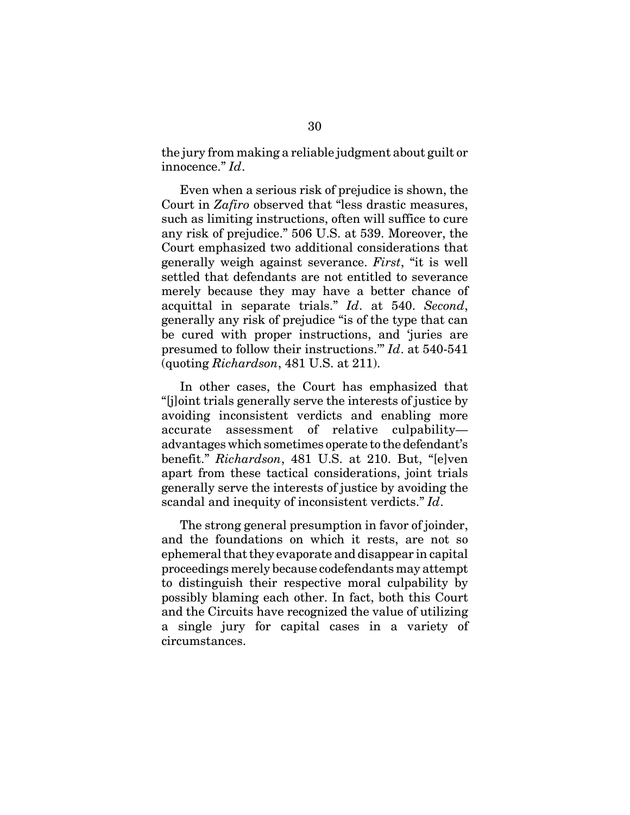the jury from making a reliable judgment about guilt or innocence." *Id*.

Even when a serious risk of prejudice is shown, the Court in *Zafiro* observed that "less drastic measures, such as limiting instructions, often will suffice to cure any risk of prejudice." 506 U.S. at 539. Moreover, the Court emphasized two additional considerations that generally weigh against severance. *First*, "it is well settled that defendants are not entitled to severance merely because they may have a better chance of acquittal in separate trials." *Id*. at 540. *Second*, generally any risk of prejudice "is of the type that can be cured with proper instructions, and 'juries are presumed to follow their instructions.'" *Id*. at 540-541 (quoting *Richardson*, 481 U.S. at 211).

In other cases, the Court has emphasized that "[j]oint trials generally serve the interests of justice by avoiding inconsistent verdicts and enabling more accurate assessment of relative culpability advantages which sometimes operate to the defendant's benefit." *Richardson*, 481 U.S. at 210. But, "[e]ven apart from these tactical considerations, joint trials generally serve the interests of justice by avoiding the scandal and inequity of inconsistent verdicts." *Id*.

The strong general presumption in favor of joinder, and the foundations on which it rests, are not so ephemeral that they evaporate and disappear in capital proceedings merely because codefendants may attempt to distinguish their respective moral culpability by possibly blaming each other. In fact, both this Court and the Circuits have recognized the value of utilizing a single jury for capital cases in a variety of circumstances.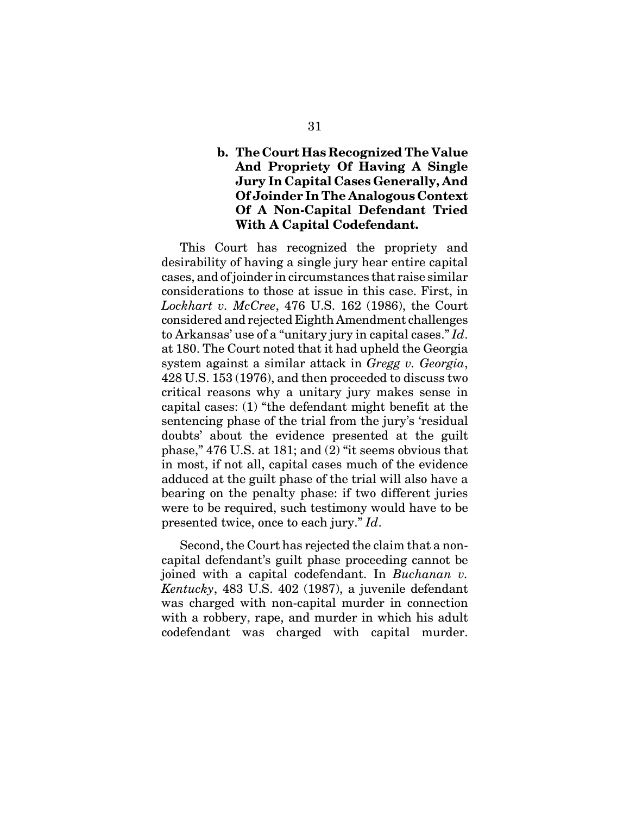# **b. The Court Has Recognized The Value And Propriety Of Having A Single Jury In Capital Cases Generally, And Of Joinder In The Analogous Context Of A Non-Capital Defendant Tried With A Capital Codefendant.**

This Court has recognized the propriety and desirability of having a single jury hear entire capital cases, and of joinder in circumstances that raise similar considerations to those at issue in this case. First, in *Lockhart v. McCree*, 476 U.S. 162 (1986), the Court considered and rejected Eighth Amendment challenges to Arkansas' use of a "unitary jury in capital cases." *Id*. at 180. The Court noted that it had upheld the Georgia system against a similar attack in *Gregg v. Georgia*, 428 U.S. 153 (1976), and then proceeded to discuss two critical reasons why a unitary jury makes sense in capital cases: (1) "the defendant might benefit at the sentencing phase of the trial from the jury's 'residual doubts' about the evidence presented at the guilt phase," 476 U.S. at 181; and (2) "it seems obvious that in most, if not all, capital cases much of the evidence adduced at the guilt phase of the trial will also have a bearing on the penalty phase: if two different juries were to be required, such testimony would have to be presented twice, once to each jury." *Id*.

Second, the Court has rejected the claim that a noncapital defendant's guilt phase proceeding cannot be joined with a capital codefendant. In *Buchanan v. Kentucky*, 483 U.S. 402 (1987), a juvenile defendant was charged with non-capital murder in connection with a robbery, rape, and murder in which his adult codefendant was charged with capital murder.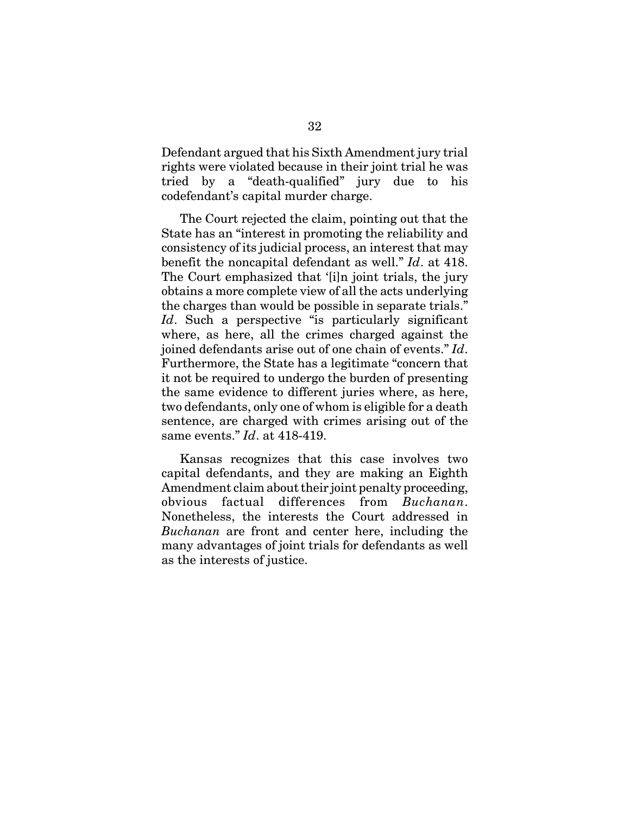Defendant argued that his Sixth Amendment jury trial rights were violated because in their joint trial he was tried by a "death-qualified" jury due to his codefendant's capital murder charge.

The Court rejected the claim, pointing out that the State has an "interest in promoting the reliability and consistency of its judicial process, an interest that may benefit the noncapital defendant as well." *Id*. at 418. The Court emphasized that '[i]n joint trials, the jury obtains a more complete view of all the acts underlying the charges than would be possible in separate trials." Id. Such a perspective "is particularly significant where, as here, all the crimes charged against the joined defendants arise out of one chain of events." *Id*. Furthermore, the State has a legitimate "concern that it not be required to undergo the burden of presenting the same evidence to different juries where, as here, two defendants, only one of whom is eligible for a death sentence, are charged with crimes arising out of the same events." *Id*. at 418-419.

Kansas recognizes that this case involves two capital defendants, and they are making an Eighth Amendment claim about their joint penalty proceeding, obvious factual differences from *Buchanan*. Nonetheless, the interests the Court addressed in *Buchanan* are front and center here, including the many advantages of joint trials for defendants as well as the interests of justice.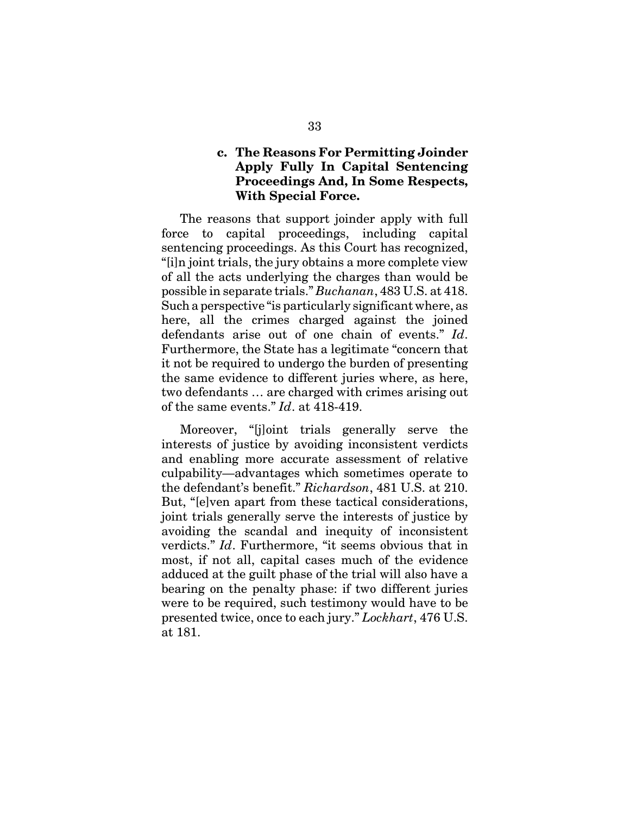## **c. The Reasons For Permitting Joinder Apply Fully In Capital Sentencing Proceedings And, In Some Respects, With Special Force.**

The reasons that support joinder apply with full force to capital proceedings, including capital sentencing proceedings. As this Court has recognized, "[i]n joint trials, the jury obtains a more complete view of all the acts underlying the charges than would be possible in separate trials." *Buchanan*, 483 U.S. at 418. Such a perspective "is particularly significant where, as here, all the crimes charged against the joined defendants arise out of one chain of events." *Id*. Furthermore, the State has a legitimate "concern that it not be required to undergo the burden of presenting the same evidence to different juries where, as here, two defendants … are charged with crimes arising out of the same events." *Id*. at 418-419.

Moreover, "[j]oint trials generally serve the interests of justice by avoiding inconsistent verdicts and enabling more accurate assessment of relative culpability—advantages which sometimes operate to the defendant's benefit." *Richardson*, 481 U.S. at 210. But, "[e]ven apart from these tactical considerations, joint trials generally serve the interests of justice by avoiding the scandal and inequity of inconsistent verdicts." *Id*. Furthermore, "it seems obvious that in most, if not all, capital cases much of the evidence adduced at the guilt phase of the trial will also have a bearing on the penalty phase: if two different juries were to be required, such testimony would have to be presented twice, once to each jury." *Lockhart*, 476 U.S. at 181.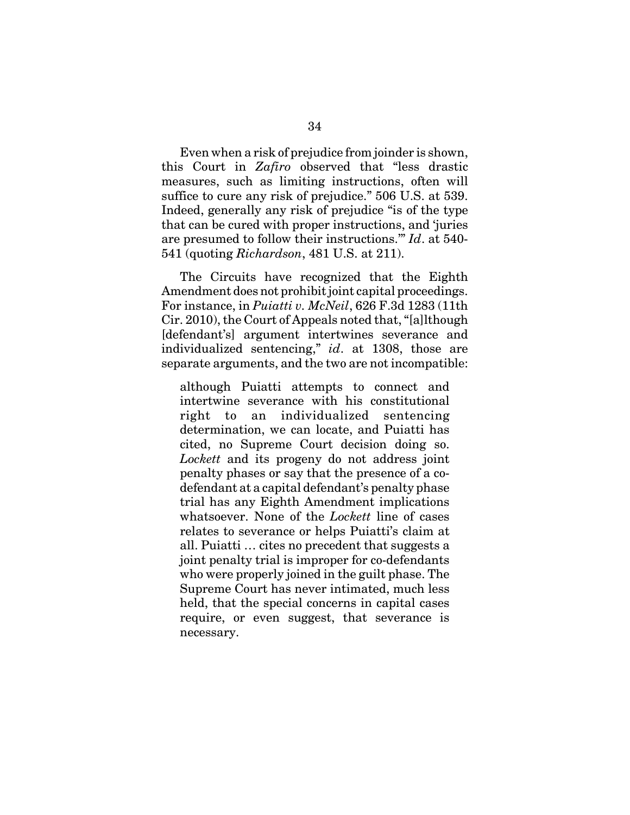Even when a risk of prejudice from joinder is shown, this Court in *Zafiro* observed that "less drastic measures, such as limiting instructions, often will suffice to cure any risk of prejudice." 506 U.S. at 539. Indeed, generally any risk of prejudice "is of the type that can be cured with proper instructions, and 'juries are presumed to follow their instructions.'" *Id*. at 540- 541 (quoting *Richardson*, 481 U.S. at 211).

The Circuits have recognized that the Eighth Amendment does not prohibit joint capital proceedings. For instance, in *Puiatti v. McNeil*, 626 F.3d 1283 (11th Cir. 2010), the Court of Appeals noted that, "[a]lthough [defendant's] argument intertwines severance and individualized sentencing," *id*. at 1308, those are separate arguments, and the two are not incompatible:

although Puiatti attempts to connect and intertwine severance with his constitutional right to an individualized sentencing determination, we can locate, and Puiatti has cited, no Supreme Court decision doing so. *Lockett* and its progeny do not address joint penalty phases or say that the presence of a codefendant at a capital defendant's penalty phase trial has any Eighth Amendment implications whatsoever. None of the *Lockett* line of cases relates to severance or helps Puiatti's claim at all. Puiatti … cites no precedent that suggests a joint penalty trial is improper for co-defendants who were properly joined in the guilt phase. The Supreme Court has never intimated, much less held, that the special concerns in capital cases require, or even suggest, that severance is necessary.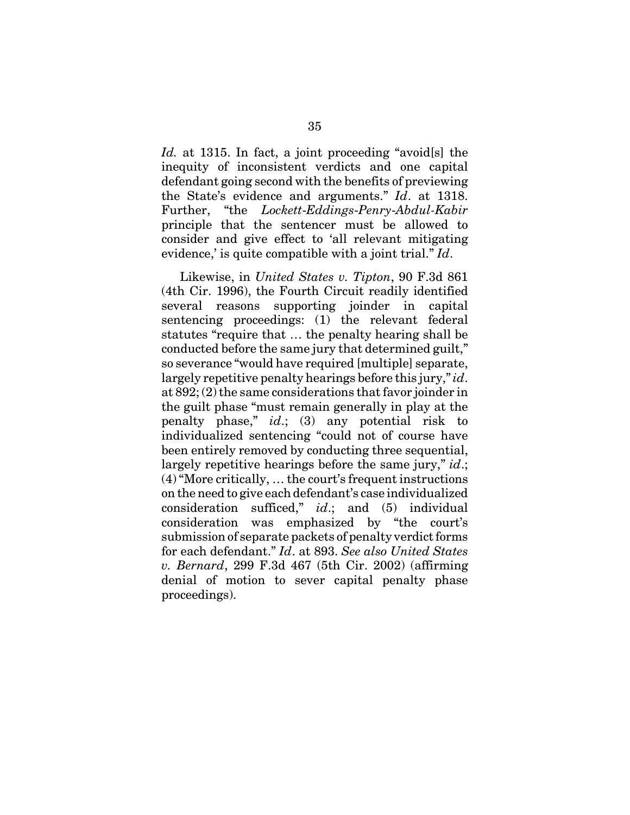*Id.* at 1315. In fact, a joint proceeding "avoid[s] the inequity of inconsistent verdicts and one capital defendant going second with the benefits of previewing the State's evidence and arguments." *Id*. at 1318. Further, "the *Lockett*-*Eddings*-*Penry*-*Abdul-Kabir* principle that the sentencer must be allowed to consider and give effect to 'all relevant mitigating evidence,' is quite compatible with a joint trial." *Id*.

Likewise, in *United States v. Tipton*, 90 F.3d 861 (4th Cir. 1996), the Fourth Circuit readily identified several reasons supporting joinder in capital sentencing proceedings: (1) the relevant federal statutes "require that … the penalty hearing shall be conducted before the same jury that determined guilt," so severance "would have required [multiple] separate, largely repetitive penalty hearings before this jury," *id*. at 892; (2) the same considerations that favor joinder in the guilt phase "must remain generally in play at the penalty phase," *id*.; (3) any potential risk to individualized sentencing "could not of course have been entirely removed by conducting three sequential, largely repetitive hearings before the same jury," *id*.; (4) "More critically, … the court's frequent instructions on the need to give each defendant's case individualized consideration sufficed," *id*.; and (5) individual consideration was emphasized by "the court's submission of separate packets of penalty verdict forms for each defendant." *Id*. at 893. *See also United States v. Bernard*, 299 F.3d 467 (5th Cir. 2002) (affirming denial of motion to sever capital penalty phase proceedings).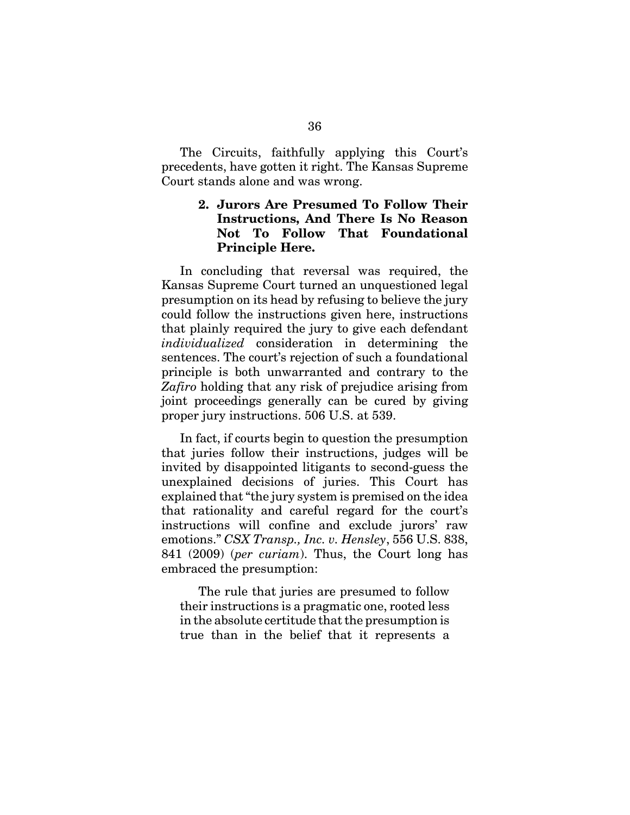The Circuits, faithfully applying this Court's precedents, have gotten it right. The Kansas Supreme Court stands alone and was wrong.

# **2. Jurors Are Presumed To Follow Their Instructions, And There Is No Reason Not To Follow That Foundational Principle Here.**

In concluding that reversal was required, the Kansas Supreme Court turned an unquestioned legal presumption on its head by refusing to believe the jury could follow the instructions given here, instructions that plainly required the jury to give each defendant *individualized* consideration in determining the sentences. The court's rejection of such a foundational principle is both unwarranted and contrary to the *Zafiro* holding that any risk of prejudice arising from joint proceedings generally can be cured by giving proper jury instructions. 506 U.S. at 539.

In fact, if courts begin to question the presumption that juries follow their instructions, judges will be invited by disappointed litigants to second-guess the unexplained decisions of juries. This Court has explained that "the jury system is premised on the idea that rationality and careful regard for the court's instructions will confine and exclude jurors' raw emotions." *CSX Transp., Inc. v. Hensley*, 556 U.S. 838, 841 (2009) (*per curiam*). Thus, the Court long has embraced the presumption:

The rule that juries are presumed to follow their instructions is a pragmatic one, rooted less in the absolute certitude that the presumption is true than in the belief that it represents a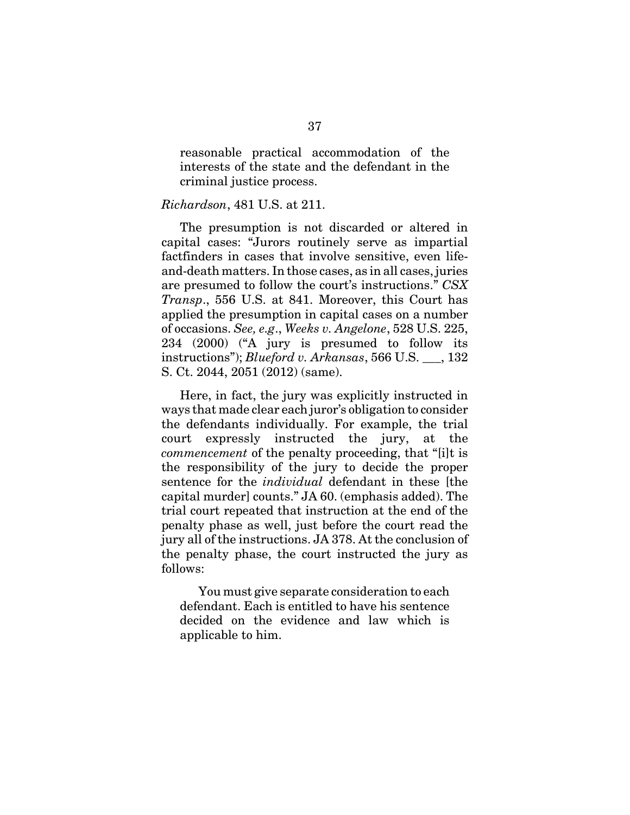reasonable practical accommodation of the interests of the state and the defendant in the criminal justice process.

#### *Richardson*, 481 U.S. at 211.

The presumption is not discarded or altered in capital cases: "Jurors routinely serve as impartial factfinders in cases that involve sensitive, even lifeand-death matters. In those cases, as in all cases, juries are presumed to follow the court's instructions." *CSX Transp*., 556 U.S. at 841. Moreover, this Court has applied the presumption in capital cases on a number of occasions. *See, e.g*., *Weeks v. Angelone*, 528 U.S. 225, 234 (2000) ("A jury is presumed to follow its instructions"); *Blueford v. Arkansas*, 566 U.S. \_\_\_, 132 S. Ct. 2044, 2051 (2012) (same).

Here, in fact, the jury was explicitly instructed in ways that made clear each juror's obligation to consider the defendants individually. For example, the trial court expressly instructed the jury, at the *commencement* of the penalty proceeding, that "[i]t is the responsibility of the jury to decide the proper sentence for the *individual* defendant in these [the capital murder] counts." JA 60. (emphasis added). The trial court repeated that instruction at the end of the penalty phase as well, just before the court read the jury all of the instructions. JA 378. At the conclusion of the penalty phase, the court instructed the jury as follows:

You must give separate consideration to each defendant. Each is entitled to have his sentence decided on the evidence and law which is applicable to him.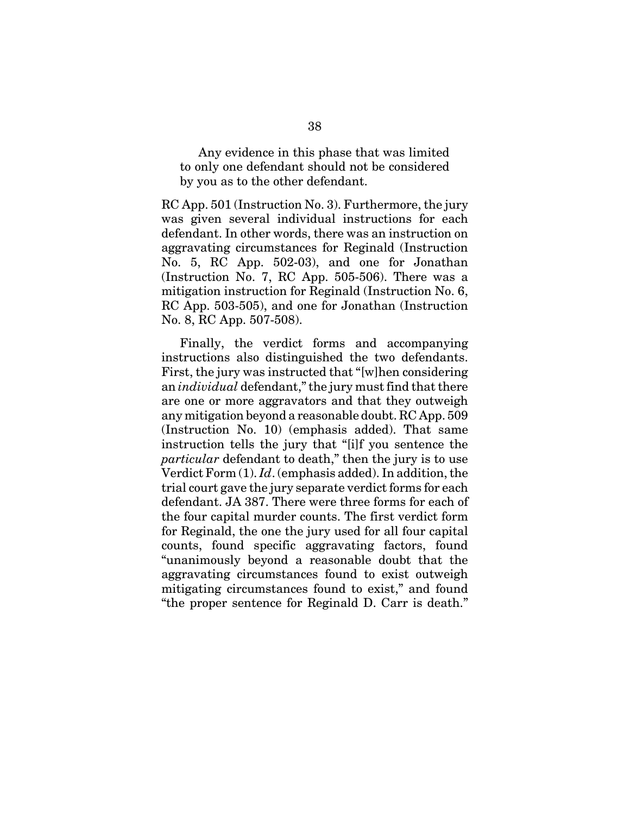Any evidence in this phase that was limited to only one defendant should not be considered by you as to the other defendant.

RC App. 501 (Instruction No. 3). Furthermore, the jury was given several individual instructions for each defendant. In other words, there was an instruction on aggravating circumstances for Reginald (Instruction No. 5, RC App. 502-03), and one for Jonathan (Instruction No. 7, RC App. 505-506). There was a mitigation instruction for Reginald (Instruction No. 6, RC App. 503-505), and one for Jonathan (Instruction No. 8, RC App. 507-508).

Finally, the verdict forms and accompanying instructions also distinguished the two defendants. First, the jury was instructed that "[w]hen considering an *individual* defendant," the jury must find that there are one or more aggravators and that they outweigh any mitigation beyond a reasonable doubt. RC App. 509 (Instruction No. 10) (emphasis added). That same instruction tells the jury that "[i]f you sentence the *particular* defendant to death," then the jury is to use Verdict Form (1). *Id*. (emphasis added). In addition, the trial court gave the jury separate verdict forms for each defendant. JA 387. There were three forms for each of the four capital murder counts. The first verdict form for Reginald, the one the jury used for all four capital counts, found specific aggravating factors, found "unanimously beyond a reasonable doubt that the aggravating circumstances found to exist outweigh mitigating circumstances found to exist," and found "the proper sentence for Reginald D. Carr is death."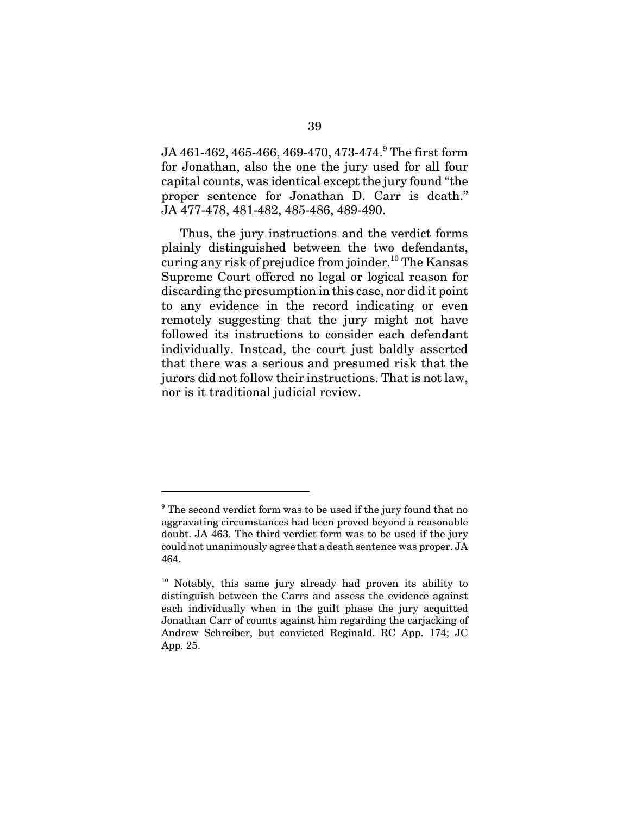${\rm JA}$  461-462, 465-466, 469-470, 473-474. $^9$  The first form for Jonathan, also the one the jury used for all four capital counts, was identical except the jury found "the proper sentence for Jonathan D. Carr is death." JA 477-478, 481-482, 485-486, 489-490.

Thus, the jury instructions and the verdict forms plainly distinguished between the two defendants, curing any risk of prejudice from joinder.<sup>10</sup> The Kansas Supreme Court offered no legal or logical reason for discarding the presumption in this case, nor did it point to any evidence in the record indicating or even remotely suggesting that the jury might not have followed its instructions to consider each defendant individually. Instead, the court just baldly asserted that there was a serious and presumed risk that the jurors did not follow their instructions. That is not law, nor is it traditional judicial review.

<sup>&</sup>lt;sup>9</sup> The second verdict form was to be used if the jury found that no aggravating circumstances had been proved beyond a reasonable doubt. JA 463. The third verdict form was to be used if the jury could not unanimously agree that a death sentence was proper. JA 464.

<sup>&</sup>lt;sup>10</sup> Notably, this same jury already had proven its ability to distinguish between the Carrs and assess the evidence against each individually when in the guilt phase the jury acquitted Jonathan Carr of counts against him regarding the carjacking of Andrew Schreiber, but convicted Reginald. RC App. 174; JC App. 25.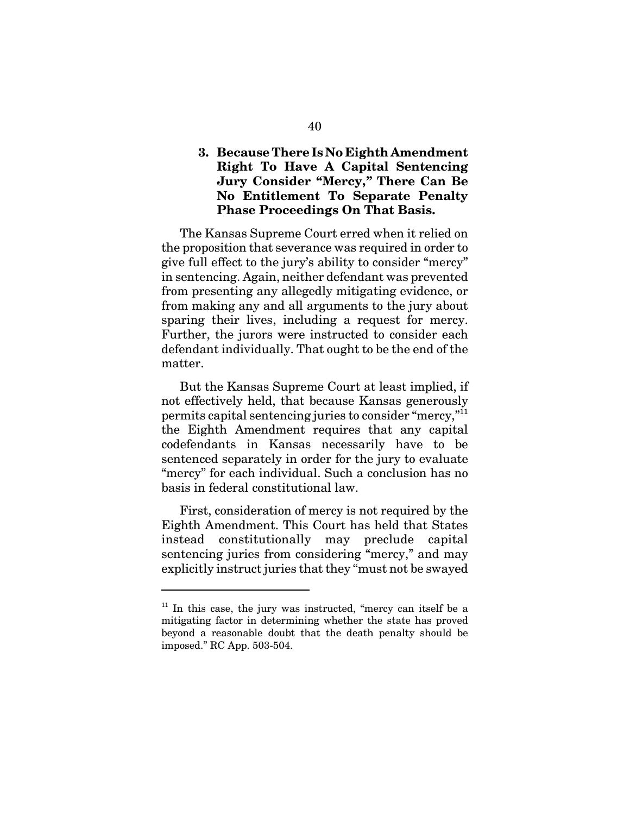## **3. Because There Is No Eighth Amendment Right To Have A Capital Sentencing Jury Consider "Mercy,***"* **There Can Be No Entitlement To Separate Penalty Phase Proceedings On That Basis.**

The Kansas Supreme Court erred when it relied on the proposition that severance was required in order to give full effect to the jury's ability to consider "mercy" in sentencing. Again, neither defendant was prevented from presenting any allegedly mitigating evidence, or from making any and all arguments to the jury about sparing their lives, including a request for mercy. Further, the jurors were instructed to consider each defendant individually. That ought to be the end of the matter.

But the Kansas Supreme Court at least implied, if not effectively held, that because Kansas generously permits capital sentencing juries to consider "mercy,"11 the Eighth Amendment requires that any capital codefendants in Kansas necessarily have to be sentenced separately in order for the jury to evaluate "mercy" for each individual. Such a conclusion has no basis in federal constitutional law.

First, consideration of mercy is not required by the Eighth Amendment. This Court has held that States instead constitutionally may preclude capital sentencing juries from considering "mercy," and may explicitly instruct juries that they "must not be swayed

 $11$  In this case, the jury was instructed, "mercy can itself be a mitigating factor in determining whether the state has proved beyond a reasonable doubt that the death penalty should be imposed." RC App. 503-504.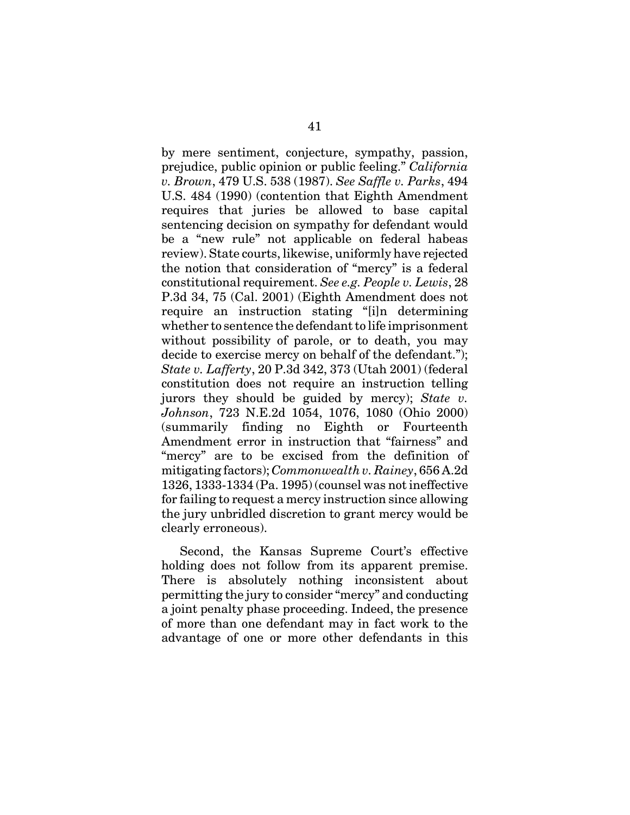by mere sentiment, conjecture, sympathy, passion, prejudice, public opinion or public feeling." *California v. Brown*, 479 U.S. 538 (1987). *See Saffle v. Parks*, 494 U.S. 484 (1990) (contention that Eighth Amendment requires that juries be allowed to base capital sentencing decision on sympathy for defendant would be a "new rule" not applicable on federal habeas review). State courts, likewise, uniformly have rejected the notion that consideration of "mercy" is a federal constitutional requirement. *See e.g. People v. Lewis*, 28 P.3d 34, 75 (Cal. 2001) (Eighth Amendment does not require an instruction stating "[i]n determining whether to sentence the defendant to life imprisonment without possibility of parole, or to death, you may decide to exercise mercy on behalf of the defendant."); *State v. Lafferty*, 20 P.3d 342, 373 (Utah 2001) (federal constitution does not require an instruction telling jurors they should be guided by mercy); *State v. Johnson*, 723 N.E.2d 1054, 1076, 1080 (Ohio 2000) (summarily finding no Eighth or Fourteenth Amendment error in instruction that "fairness" and "mercy" are to be excised from the definition of mitigating factors); *Commonwealth v. Rainey*, 656 A.2d 1326, 1333-1334 (Pa. 1995) (counsel was not ineffective for failing to request a mercy instruction since allowing the jury unbridled discretion to grant mercy would be clearly erroneous).

Second, the Kansas Supreme Court's effective holding does not follow from its apparent premise. There is absolutely nothing inconsistent about permitting the jury to consider "mercy" and conducting a joint penalty phase proceeding. Indeed, the presence of more than one defendant may in fact work to the advantage of one or more other defendants in this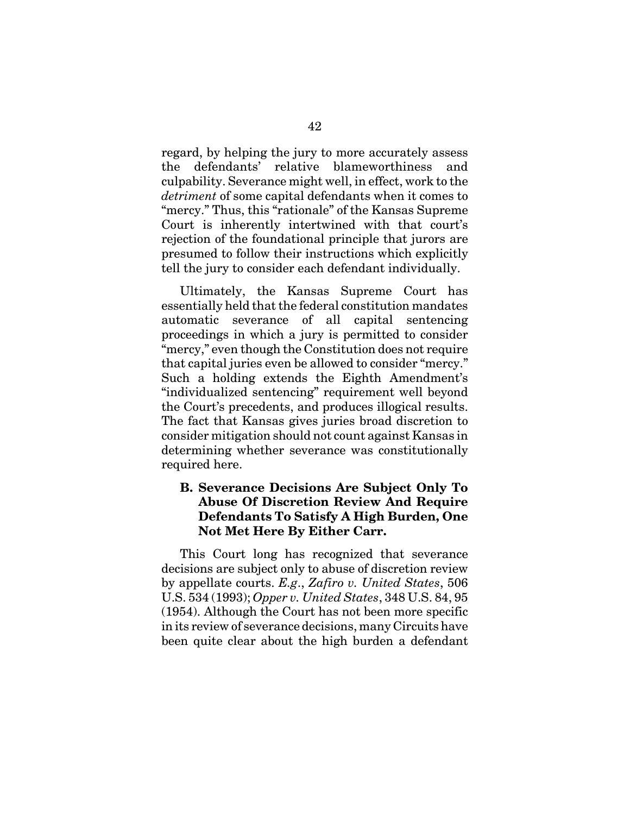regard, by helping the jury to more accurately assess the defendants' relative blameworthiness and culpability. Severance might well, in effect, work to the *detriment* of some capital defendants when it comes to "mercy." Thus, this "rationale" of the Kansas Supreme Court is inherently intertwined with that court's rejection of the foundational principle that jurors are presumed to follow their instructions which explicitly tell the jury to consider each defendant individually.

Ultimately, the Kansas Supreme Court has essentially held that the federal constitution mandates automatic severance of all capital sentencing proceedings in which a jury is permitted to consider "mercy," even though the Constitution does not require that capital juries even be allowed to consider "mercy." Such a holding extends the Eighth Amendment's "individualized sentencing" requirement well beyond the Court's precedents, and produces illogical results. The fact that Kansas gives juries broad discretion to consider mitigation should not count against Kansas in determining whether severance was constitutionally required here.

# **B. Severance Decisions Are Subject Only To Abuse Of Discretion Review And Require Defendants To Satisfy A High Burden, One Not Met Here By Either Carr.**

This Court long has recognized that severance decisions are subject only to abuse of discretion review by appellate courts. *E.g*., *Zafiro v. United States*, 506 U.S. 534 (1993); *Opper v. United States*, 348 U.S. 84, 95 (1954). Although the Court has not been more specific in its review of severance decisions, many Circuits have been quite clear about the high burden a defendant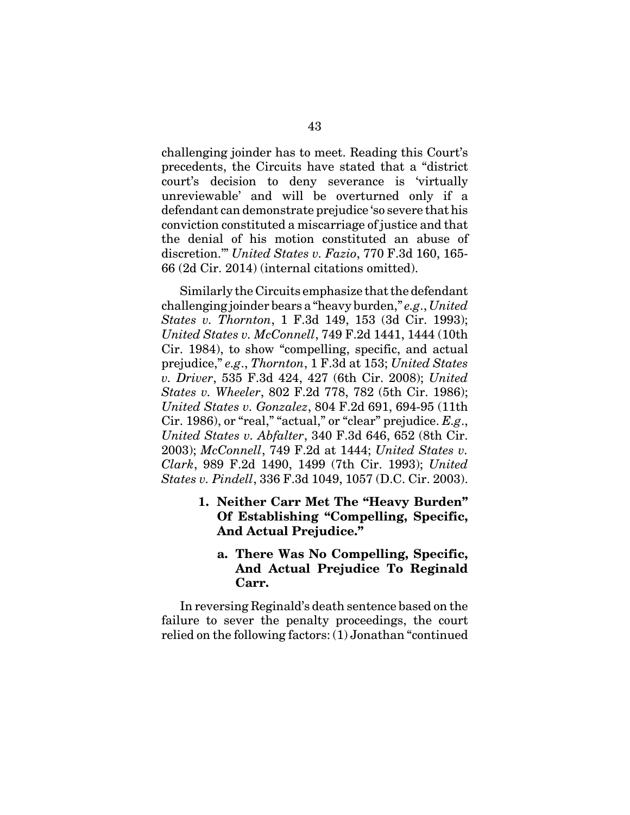challenging joinder has to meet. Reading this Court's precedents, the Circuits have stated that a "district court's decision to deny severance is 'virtually unreviewable' and will be overturned only if a defendant can demonstrate prejudice 'so severe that his conviction constituted a miscarriage of justice and that the denial of his motion constituted an abuse of discretion.'" *United States v. Fazio*, 770 F.3d 160, 165- 66 (2d Cir. 2014) (internal citations omitted).

Similarly the Circuits emphasize that the defendant challenging joinder bears a "heavy burden," *e.g*., *United States v. Thornton*, 1 F.3d 149, 153 (3d Cir. 1993); *United States v. McConnell*, 749 F.2d 1441, 1444 (10th Cir. 1984), to show "compelling, specific, and actual prejudice," *e.g*., *Thornton*, 1 F.3d at 153; *United States v. Driver*, 535 F.3d 424, 427 (6th Cir. 2008); *United States v. Wheeler*, 802 F.2d 778, 782 (5th Cir. 1986); *United States v. Gonzalez*, 804 F.2d 691, 694-95 (11th Cir. 1986), or "real," "actual," or "clear" prejudice. *E.g*., *United States v. Abfalter*, 340 F.3d 646, 652 (8th Cir. 2003); *McConnell*, 749 F.2d at 1444; *United States v. Clark*, 989 F.2d 1490, 1499 (7th Cir. 1993); *United States v. Pindell*, 336 F.3d 1049, 1057 (D.C. Cir. 2003).

- **1. Neither Carr Met The "Heavy Burden" Of Establishing "Compelling, Specific, And Actual Prejudice."** 
	- **a. There Was No Compelling, Specific, And Actual Prejudice To Reginald Carr.**

In reversing Reginald's death sentence based on the failure to sever the penalty proceedings, the court relied on the following factors: (1) Jonathan "continued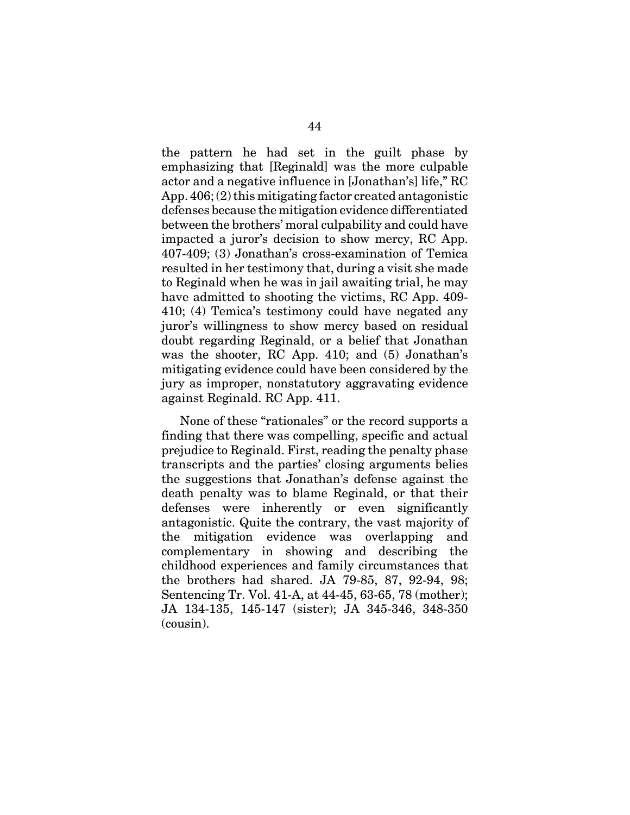the pattern he had set in the guilt phase by emphasizing that [Reginald] was the more culpable actor and a negative influence in [Jonathan's] life," RC App. 406; (2) this mitigating factor created antagonistic defenses because the mitigation evidence differentiated between the brothers' moral culpability and could have impacted a juror's decision to show mercy, RC App. 407-409; (3) Jonathan's cross-examination of Temica resulted in her testimony that, during a visit she made to Reginald when he was in jail awaiting trial, he may have admitted to shooting the victims, RC App. 409- 410; (4) Temica's testimony could have negated any juror's willingness to show mercy based on residual doubt regarding Reginald, or a belief that Jonathan was the shooter, RC App. 410; and (5) Jonathan's mitigating evidence could have been considered by the jury as improper, nonstatutory aggravating evidence against Reginald. RC App. 411.

None of these "rationales" or the record supports a finding that there was compelling, specific and actual prejudice to Reginald. First, reading the penalty phase transcripts and the parties' closing arguments belies the suggestions that Jonathan's defense against the death penalty was to blame Reginald, or that their defenses were inherently or even significantly antagonistic. Quite the contrary, the vast majority of the mitigation evidence was overlapping and complementary in showing and describing the childhood experiences and family circumstances that the brothers had shared. JA 79-85, 87, 92-94, 98; Sentencing Tr. Vol. 41-A, at 44-45, 63-65, 78 (mother); JA 134-135, 145-147 (sister); JA 345-346, 348-350 (cousin).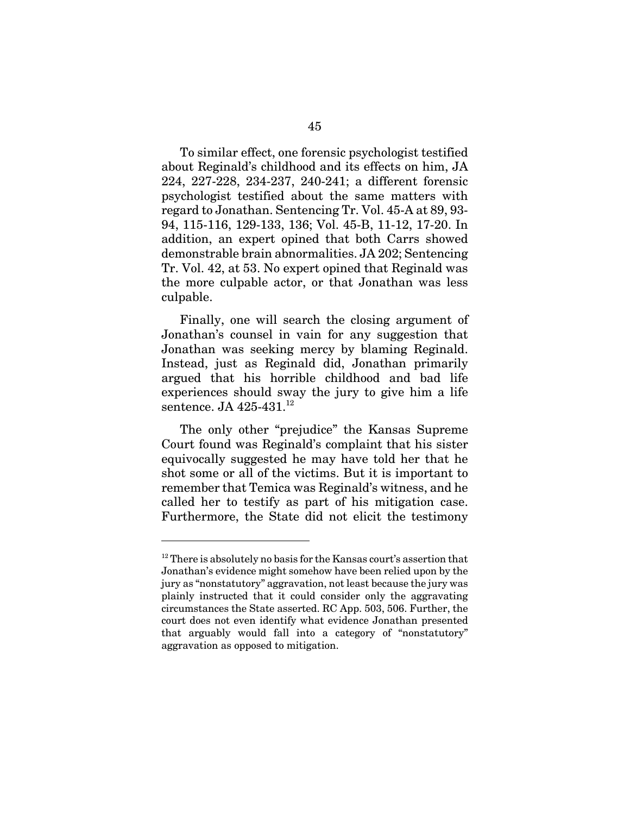To similar effect, one forensic psychologist testified about Reginald's childhood and its effects on him, JA 224, 227-228, 234-237, 240-241; a different forensic psychologist testified about the same matters with regard to Jonathan. Sentencing Tr. Vol. 45-A at 89, 93- 94, 115-116, 129-133, 136; Vol. 45-B, 11-12, 17-20. In addition, an expert opined that both Carrs showed demonstrable brain abnormalities. JA 202; Sentencing Tr. Vol. 42, at 53. No expert opined that Reginald was the more culpable actor, or that Jonathan was less culpable.

Finally, one will search the closing argument of Jonathan's counsel in vain for any suggestion that Jonathan was seeking mercy by blaming Reginald. Instead, just as Reginald did, Jonathan primarily argued that his horrible childhood and bad life experiences should sway the jury to give him a life sentence. JA  $425-431$ .<sup>12</sup>

The only other "prejudice" the Kansas Supreme Court found was Reginald's complaint that his sister equivocally suggested he may have told her that he shot some or all of the victims. But it is important to remember that Temica was Reginald's witness, and he called her to testify as part of his mitigation case. Furthermore, the State did not elicit the testimony

 $12$  There is absolutely no basis for the Kansas court's assertion that Jonathan's evidence might somehow have been relied upon by the jury as "nonstatutory" aggravation, not least because the jury was plainly instructed that it could consider only the aggravating circumstances the State asserted. RC App. 503, 506. Further, the court does not even identify what evidence Jonathan presented that arguably would fall into a category of "nonstatutory" aggravation as opposed to mitigation.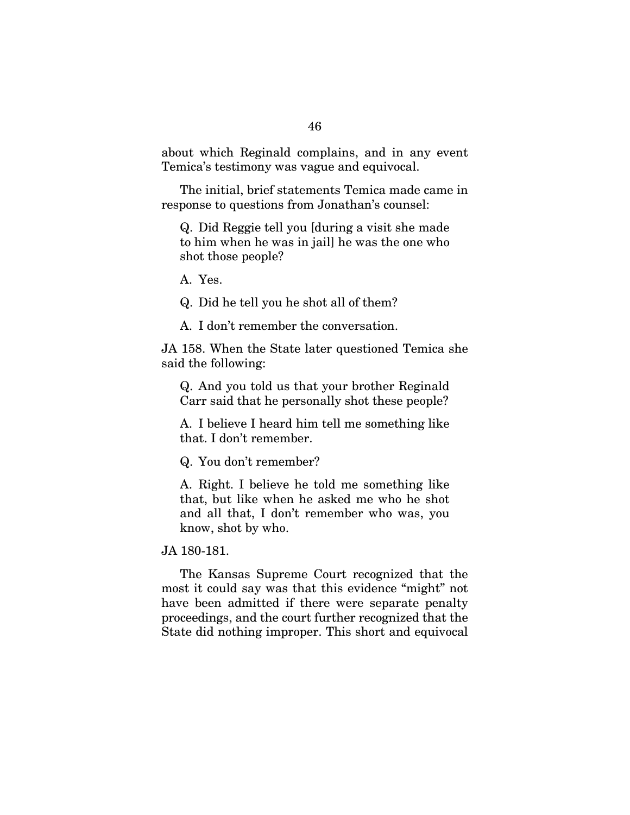about which Reginald complains, and in any event Temica's testimony was vague and equivocal.

The initial, brief statements Temica made came in response to questions from Jonathan's counsel:

Q. Did Reggie tell you [during a visit she made to him when he was in jail] he was the one who shot those people?

A. Yes.

Q. Did he tell you he shot all of them?

A. I don't remember the conversation.

JA 158. When the State later questioned Temica she said the following:

Q. And you told us that your brother Reginald Carr said that he personally shot these people?

A. I believe I heard him tell me something like that. I don't remember.

Q. You don't remember?

A. Right. I believe he told me something like that, but like when he asked me who he shot and all that, I don't remember who was, you know, shot by who.

JA 180-181.

The Kansas Supreme Court recognized that the most it could say was that this evidence "might" not have been admitted if there were separate penalty proceedings, and the court further recognized that the State did nothing improper. This short and equivocal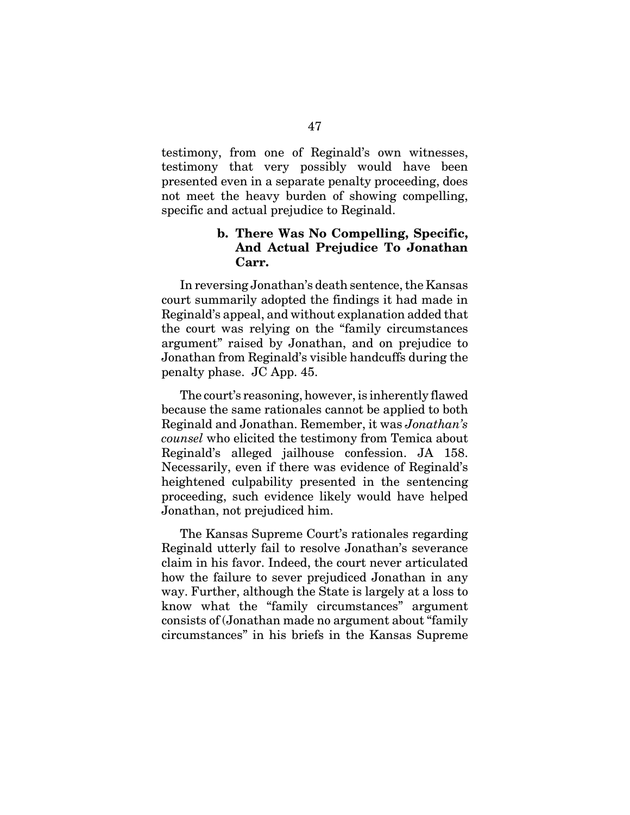testimony, from one of Reginald's own witnesses, testimony that very possibly would have been presented even in a separate penalty proceeding, does not meet the heavy burden of showing compelling, specific and actual prejudice to Reginald.

## **b. There Was No Compelling, Specific, And Actual Prejudice To Jonathan Carr.**

In reversing Jonathan's death sentence, the Kansas court summarily adopted the findings it had made in Reginald's appeal, and without explanation added that the court was relying on the "family circumstances argument" raised by Jonathan, and on prejudice to Jonathan from Reginald's visible handcuffs during the penalty phase. JC App. 45.

The court's reasoning, however, is inherently flawed because the same rationales cannot be applied to both Reginald and Jonathan. Remember, it was *Jonathan's counsel* who elicited the testimony from Temica about Reginald's alleged jailhouse confession. JA 158. Necessarily, even if there was evidence of Reginald's heightened culpability presented in the sentencing proceeding, such evidence likely would have helped Jonathan, not prejudiced him.

The Kansas Supreme Court's rationales regarding Reginald utterly fail to resolve Jonathan's severance claim in his favor. Indeed, the court never articulated how the failure to sever prejudiced Jonathan in any way. Further, although the State is largely at a loss to know what the "family circumstances" argument consists of (Jonathan made no argument about "family circumstances" in his briefs in the Kansas Supreme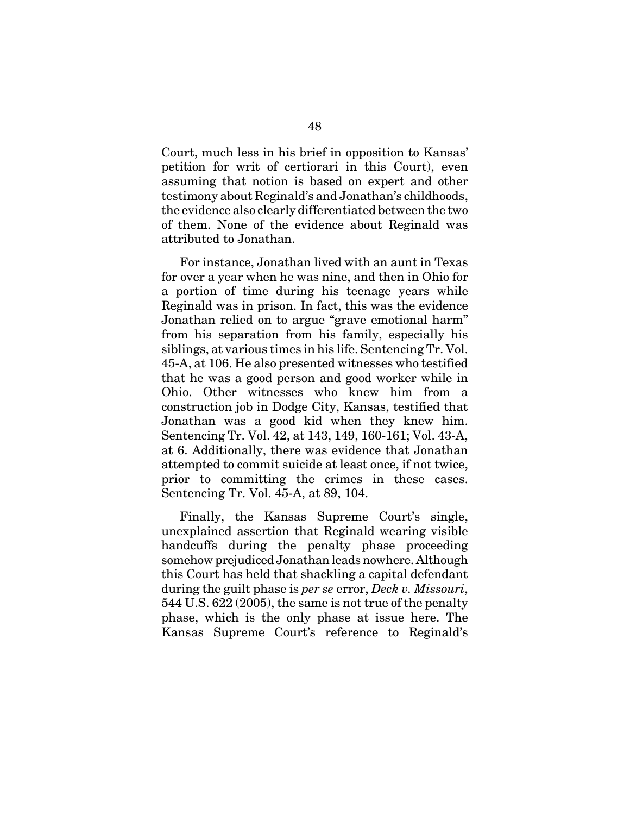Court, much less in his brief in opposition to Kansas' petition for writ of certiorari in this Court), even assuming that notion is based on expert and other testimony about Reginald's and Jonathan's childhoods, the evidence also clearly differentiated between the two of them. None of the evidence about Reginald was attributed to Jonathan.

For instance, Jonathan lived with an aunt in Texas for over a year when he was nine, and then in Ohio for a portion of time during his teenage years while Reginald was in prison. In fact, this was the evidence Jonathan relied on to argue "grave emotional harm" from his separation from his family, especially his siblings, at various times in his life. Sentencing Tr. Vol. 45-A, at 106. He also presented witnesses who testified that he was a good person and good worker while in Ohio. Other witnesses who knew him from a construction job in Dodge City, Kansas, testified that Jonathan was a good kid when they knew him. Sentencing Tr. Vol. 42, at 143, 149, 160-161; Vol. 43-A, at 6. Additionally, there was evidence that Jonathan attempted to commit suicide at least once, if not twice, prior to committing the crimes in these cases. Sentencing Tr. Vol. 45-A, at 89, 104.

Finally, the Kansas Supreme Court's single, unexplained assertion that Reginald wearing visible handcuffs during the penalty phase proceeding somehow prejudiced Jonathan leads nowhere. Although this Court has held that shackling a capital defendant during the guilt phase is *per se* error, *Deck v. Missouri*, 544 U.S. 622 (2005), the same is not true of the penalty phase, which is the only phase at issue here. The Kansas Supreme Court's reference to Reginald's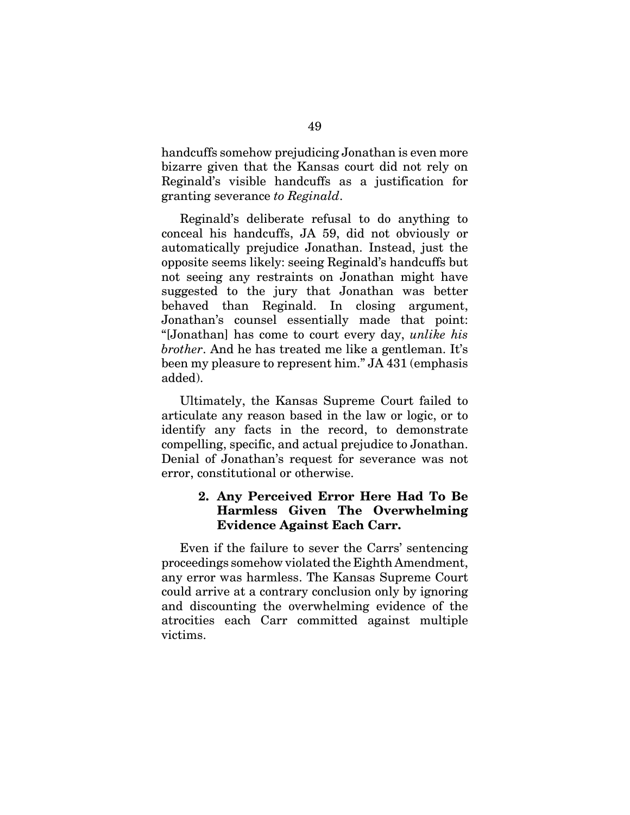handcuffs somehow prejudicing Jonathan is even more bizarre given that the Kansas court did not rely on Reginald's visible handcuffs as a justification for granting severance *to Reginald*.

Reginald's deliberate refusal to do anything to conceal his handcuffs, JA 59, did not obviously or automatically prejudice Jonathan. Instead, just the opposite seems likely: seeing Reginald's handcuffs but not seeing any restraints on Jonathan might have suggested to the jury that Jonathan was better behaved than Reginald. In closing argument, Jonathan's counsel essentially made that point: "[Jonathan] has come to court every day, *unlike his brother*. And he has treated me like a gentleman. It's been my pleasure to represent him." JA 431 (emphasis added).

Ultimately, the Kansas Supreme Court failed to articulate any reason based in the law or logic, or to identify any facts in the record, to demonstrate compelling, specific, and actual prejudice to Jonathan. Denial of Jonathan's request for severance was not error, constitutional or otherwise.

# **2. Any Perceived Error Here Had To Be Harmless Given The Overwhelming Evidence Against Each Carr.**

Even if the failure to sever the Carrs' sentencing proceedings somehow violated the Eighth Amendment, any error was harmless. The Kansas Supreme Court could arrive at a contrary conclusion only by ignoring and discounting the overwhelming evidence of the atrocities each Carr committed against multiple victims.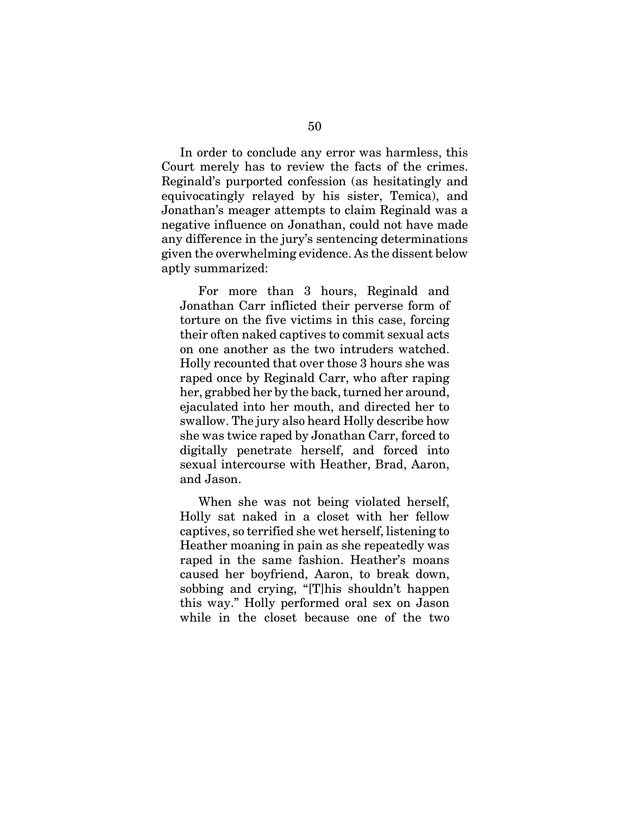In order to conclude any error was harmless, this Court merely has to review the facts of the crimes. Reginald's purported confession (as hesitatingly and equivocatingly relayed by his sister, Temica), and Jonathan's meager attempts to claim Reginald was a negative influence on Jonathan, could not have made any difference in the jury's sentencing determinations given the overwhelming evidence. As the dissent below aptly summarized:

For more than 3 hours, Reginald and Jonathan Carr inflicted their perverse form of torture on the five victims in this case, forcing their often naked captives to commit sexual acts on one another as the two intruders watched. Holly recounted that over those 3 hours she was raped once by Reginald Carr, who after raping her, grabbed her by the back, turned her around, ejaculated into her mouth, and directed her to swallow. The jury also heard Holly describe how she was twice raped by Jonathan Carr, forced to digitally penetrate herself, and forced into sexual intercourse with Heather, Brad, Aaron, and Jason.

When she was not being violated herself, Holly sat naked in a closet with her fellow captives, so terrified she wet herself, listening to Heather moaning in pain as she repeatedly was raped in the same fashion. Heather's moans caused her boyfriend, Aaron, to break down, sobbing and crying, "[T]his shouldn't happen this way." Holly performed oral sex on Jason while in the closet because one of the two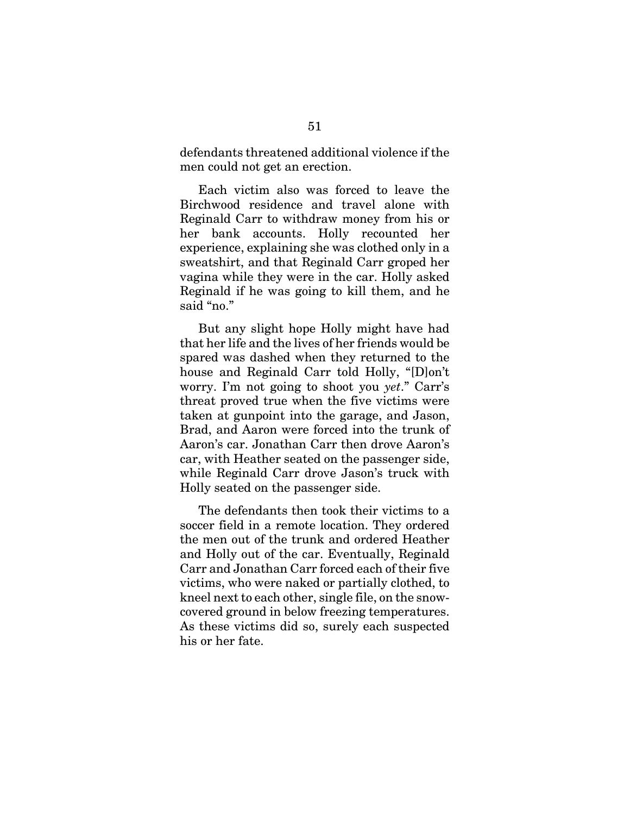defendants threatened additional violence if the men could not get an erection.

Each victim also was forced to leave the Birchwood residence and travel alone with Reginald Carr to withdraw money from his or her bank accounts. Holly recounted her experience, explaining she was clothed only in a sweatshirt, and that Reginald Carr groped her vagina while they were in the car. Holly asked Reginald if he was going to kill them, and he said "no."

But any slight hope Holly might have had that her life and the lives of her friends would be spared was dashed when they returned to the house and Reginald Carr told Holly, "[D]on't worry. I'm not going to shoot you *yet*." Carr's threat proved true when the five victims were taken at gunpoint into the garage, and Jason, Brad, and Aaron were forced into the trunk of Aaron's car. Jonathan Carr then drove Aaron's car, with Heather seated on the passenger side, while Reginald Carr drove Jason's truck with Holly seated on the passenger side.

The defendants then took their victims to a soccer field in a remote location. They ordered the men out of the trunk and ordered Heather and Holly out of the car. Eventually, Reginald Carr and Jonathan Carr forced each of their five victims, who were naked or partially clothed, to kneel next to each other, single file, on the snowcovered ground in below freezing temperatures. As these victims did so, surely each suspected his or her fate.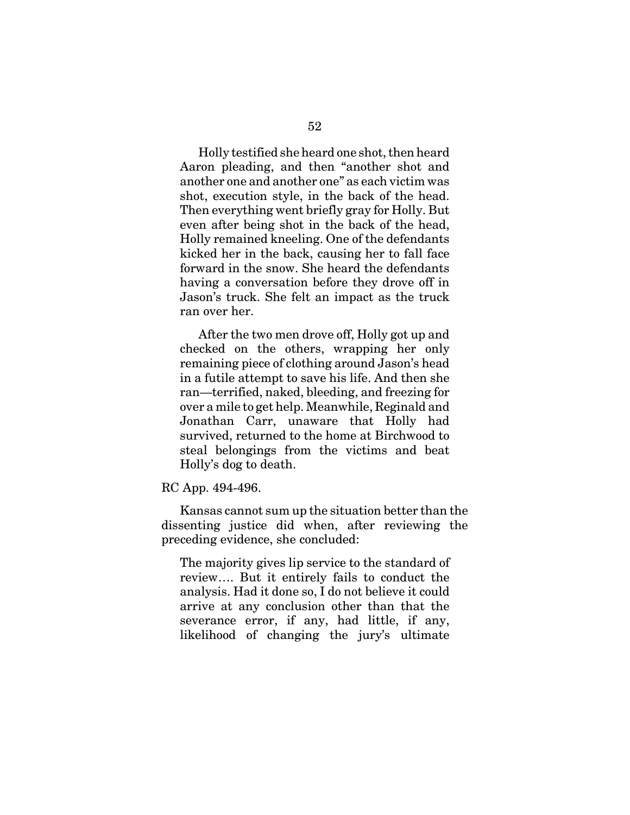Holly testified she heard one shot, then heard Aaron pleading, and then "another shot and another one and another one" as each victim was shot, execution style, in the back of the head. Then everything went briefly gray for Holly. But even after being shot in the back of the head, Holly remained kneeling. One of the defendants kicked her in the back, causing her to fall face forward in the snow. She heard the defendants having a conversation before they drove off in Jason's truck. She felt an impact as the truck ran over her.

After the two men drove off, Holly got up and checked on the others, wrapping her only remaining piece of clothing around Jason's head in a futile attempt to save his life. And then she ran—terrified, naked, bleeding, and freezing for over a mile to get help. Meanwhile, Reginald and Jonathan Carr, unaware that Holly had survived, returned to the home at Birchwood to steal belongings from the victims and beat Holly's dog to death.

RC App. 494-496.

Kansas cannot sum up the situation better than the dissenting justice did when, after reviewing the preceding evidence, she concluded:

The majority gives lip service to the standard of review…. But it entirely fails to conduct the analysis. Had it done so, I do not believe it could arrive at any conclusion other than that the severance error, if any, had little, if any, likelihood of changing the jury's ultimate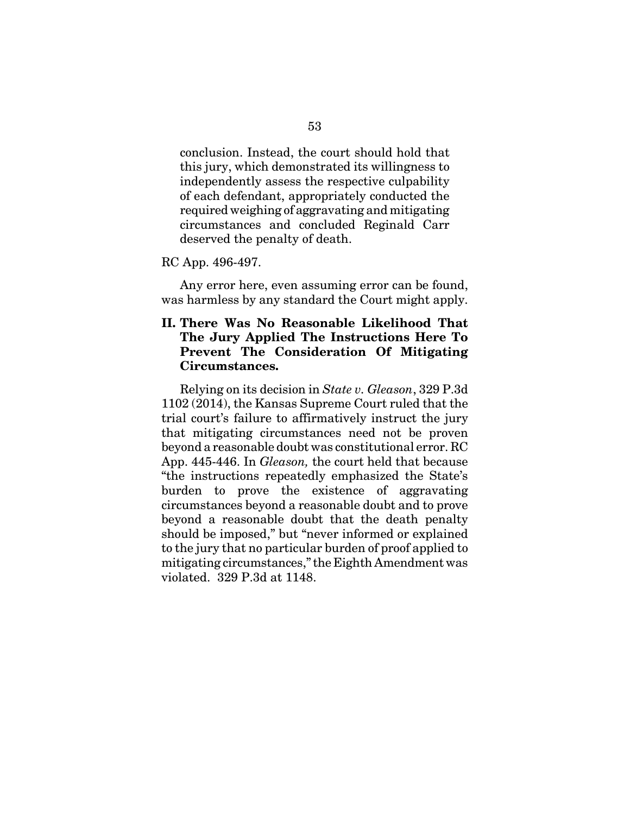conclusion. Instead, the court should hold that this jury, which demonstrated its willingness to independently assess the respective culpability of each defendant, appropriately conducted the required weighing of aggravating and mitigating circumstances and concluded Reginald Carr deserved the penalty of death.

#### RC App. 496-497.

Any error here, even assuming error can be found, was harmless by any standard the Court might apply.

## **II. There Was No Reasonable Likelihood That The Jury Applied The Instructions Here To Prevent The Consideration Of Mitigating Circumstances.**

Relying on its decision in *State v. Gleason*, 329 P.3d 1102 (2014), the Kansas Supreme Court ruled that the trial court's failure to affirmatively instruct the jury that mitigating circumstances need not be proven beyond a reasonable doubt was constitutional error. RC App. 445-446. In *Gleason,* the court held that because "the instructions repeatedly emphasized the State's burden to prove the existence of aggravating circumstances beyond a reasonable doubt and to prove beyond a reasonable doubt that the death penalty should be imposed," but "never informed or explained to the jury that no particular burden of proof applied to mitigating circumstances," the Eighth Amendment was violated. 329 P.3d at 1148.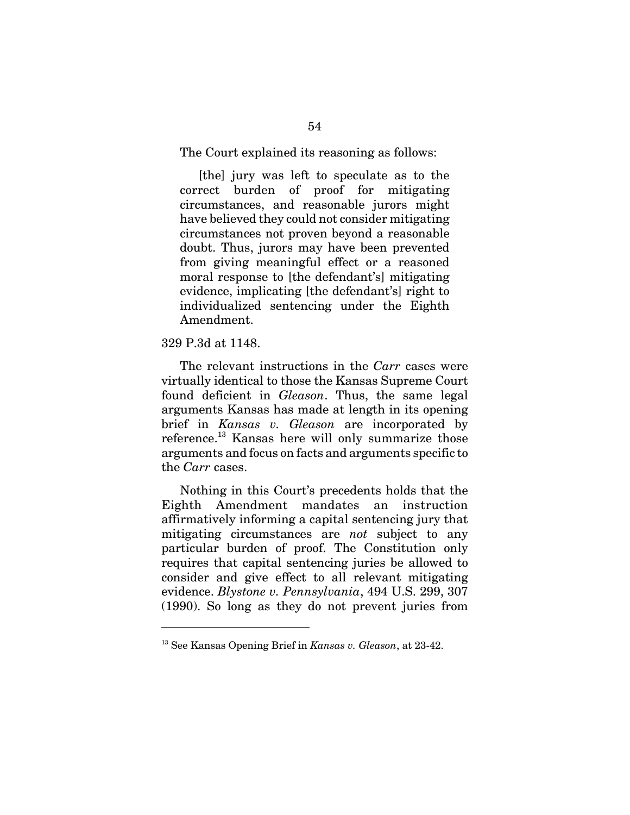The Court explained its reasoning as follows:

[the] jury was left to speculate as to the correct burden of proof for mitigating circumstances, and reasonable jurors might have believed they could not consider mitigating circumstances not proven beyond a reasonable doubt. Thus, jurors may have been prevented from giving meaningful effect or a reasoned moral response to [the defendant's] mitigating evidence, implicating [the defendant's] right to individualized sentencing under the Eighth Amendment.

#### 329 P.3d at 1148.

The relevant instructions in the *Carr* cases were virtually identical to those the Kansas Supreme Court found deficient in *Gleason*. Thus, the same legal arguments Kansas has made at length in its opening brief in *Kansas v. Gleason* are incorporated by reference.13 Kansas here will only summarize those arguments and focus on facts and arguments specific to the *Carr* cases.

Nothing in this Court's precedents holds that the Eighth Amendment mandates an instruction affirmatively informing a capital sentencing jury that mitigating circumstances are *not* subject to any particular burden of proof. The Constitution only requires that capital sentencing juries be allowed to consider and give effect to all relevant mitigating evidence. *Blystone v. Pennsylvania*, 494 U.S. 299, 307 (1990). So long as they do not prevent juries from

<sup>13</sup> See Kansas Opening Brief in *Kansas v. Gleason*, at 23-42.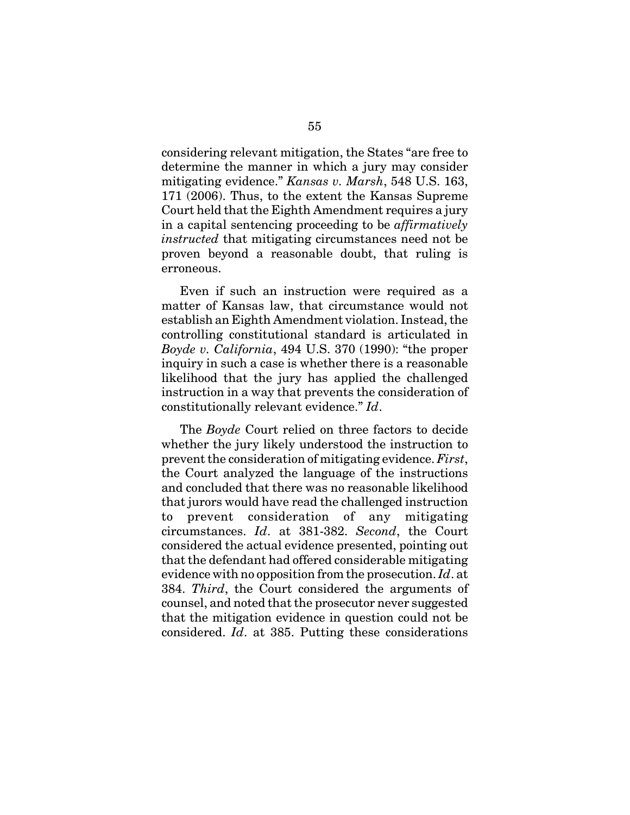considering relevant mitigation, the States "are free to determine the manner in which a jury may consider mitigating evidence." *Kansas v. Marsh*, 548 U.S. 163, 171 (2006). Thus, to the extent the Kansas Supreme Court held that the Eighth Amendment requires a jury in a capital sentencing proceeding to be *affirmatively instructed* that mitigating circumstances need not be proven beyond a reasonable doubt, that ruling is erroneous.

Even if such an instruction were required as a matter of Kansas law, that circumstance would not establish an Eighth Amendment violation. Instead, the controlling constitutional standard is articulated in *Boyde v. California*, 494 U.S. 370 (1990): "the proper inquiry in such a case is whether there is a reasonable likelihood that the jury has applied the challenged instruction in a way that prevents the consideration of constitutionally relevant evidence." *Id*.

The *Boyde* Court relied on three factors to decide whether the jury likely understood the instruction to prevent the consideration of mitigating evidence. *First*, the Court analyzed the language of the instructions and concluded that there was no reasonable likelihood that jurors would have read the challenged instruction to prevent consideration of any mitigating circumstances. *Id*. at 381-382. *Second*, the Court considered the actual evidence presented, pointing out that the defendant had offered considerable mitigating evidence with no opposition from the prosecution. *Id*. at 384. *Third*, the Court considered the arguments of counsel, and noted that the prosecutor never suggested that the mitigation evidence in question could not be considered. *Id*. at 385. Putting these considerations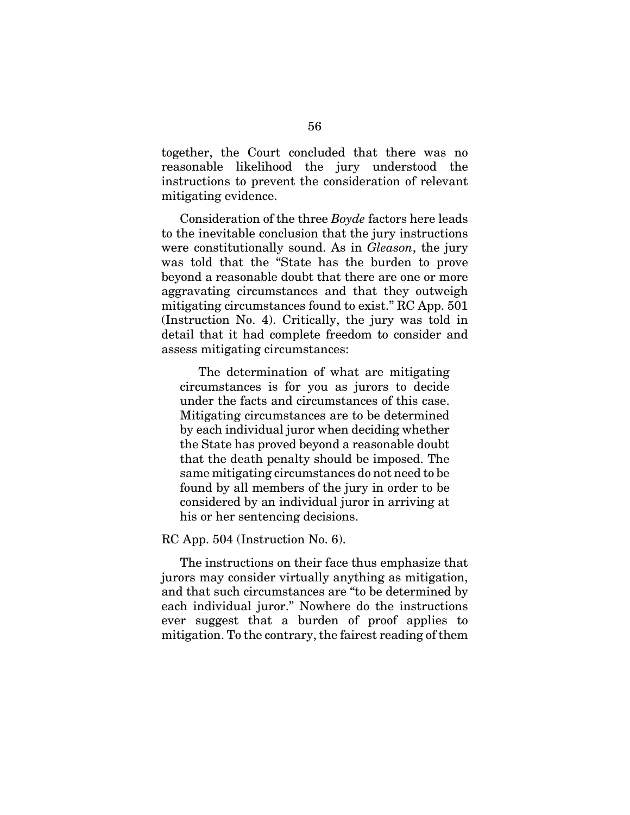together, the Court concluded that there was no reasonable likelihood the jury understood the instructions to prevent the consideration of relevant mitigating evidence.

Consideration of the three *Boyde* factors here leads to the inevitable conclusion that the jury instructions were constitutionally sound. As in *Gleason*, the jury was told that the "State has the burden to prove beyond a reasonable doubt that there are one or more aggravating circumstances and that they outweigh mitigating circumstances found to exist." RC App. 501 (Instruction No. 4). Critically, the jury was told in detail that it had complete freedom to consider and assess mitigating circumstances:

The determination of what are mitigating circumstances is for you as jurors to decide under the facts and circumstances of this case. Mitigating circumstances are to be determined by each individual juror when deciding whether the State has proved beyond a reasonable doubt that the death penalty should be imposed. The same mitigating circumstances do not need to be found by all members of the jury in order to be considered by an individual juror in arriving at his or her sentencing decisions.

#### RC App. 504 (Instruction No. 6).

The instructions on their face thus emphasize that jurors may consider virtually anything as mitigation, and that such circumstances are "to be determined by each individual juror." Nowhere do the instructions ever suggest that a burden of proof applies to mitigation. To the contrary, the fairest reading of them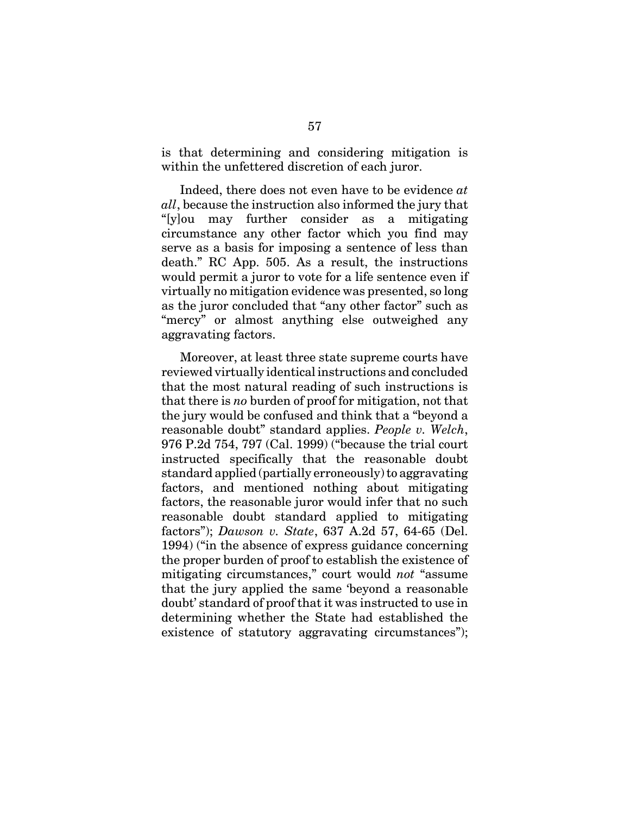is that determining and considering mitigation is within the unfettered discretion of each juror.

Indeed, there does not even have to be evidence *at all*, because the instruction also informed the jury that "[y]ou may further consider as a mitigating circumstance any other factor which you find may serve as a basis for imposing a sentence of less than death." RC App. 505. As a result, the instructions would permit a juror to vote for a life sentence even if virtually no mitigation evidence was presented, so long as the juror concluded that "any other factor" such as "mercy" or almost anything else outweighed any aggravating factors.

Moreover, at least three state supreme courts have reviewed virtually identical instructions and concluded that the most natural reading of such instructions is that there is *no* burden of proof for mitigation, not that the jury would be confused and think that a "beyond a reasonable doubt" standard applies. *People v. Welch*, 976 P.2d 754, 797 (Cal. 1999) ("because the trial court instructed specifically that the reasonable doubt standard applied (partially erroneously) to aggravating factors, and mentioned nothing about mitigating factors, the reasonable juror would infer that no such reasonable doubt standard applied to mitigating factors"); *Dawson v. State*, 637 A.2d 57, 64-65 (Del. 1994) ("in the absence of express guidance concerning the proper burden of proof to establish the existence of mitigating circumstances," court would *not* "assume that the jury applied the same 'beyond a reasonable doubt' standard of proof that it was instructed to use in determining whether the State had established the existence of statutory aggravating circumstances");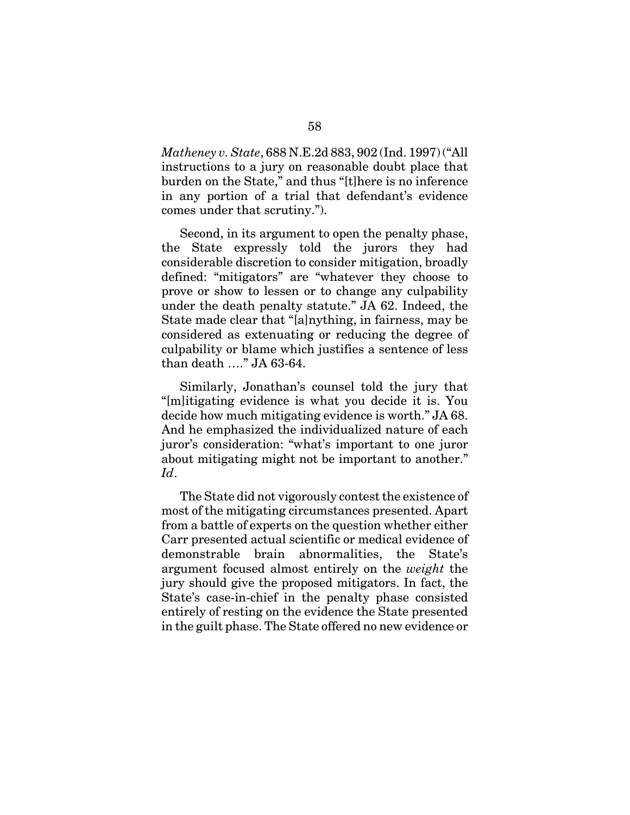*Matheney v. State*, 688 N.E.2d 883, 902 (Ind. 1997) ("All instructions to a jury on reasonable doubt place that burden on the State," and thus "[t]here is no inference in any portion of a trial that defendant's evidence comes under that scrutiny.").

Second, in its argument to open the penalty phase, the State expressly told the jurors they had considerable discretion to consider mitigation, broadly defined: "mitigators" are "whatever they choose to prove or show to lessen or to change any culpability under the death penalty statute." JA 62. Indeed, the State made clear that "[a]nything, in fairness, may be considered as extenuating or reducing the degree of culpability or blame which justifies a sentence of less than death …." JA 63-64.

Similarly, Jonathan's counsel told the jury that "[m]itigating evidence is what you decide it is. You decide how much mitigating evidence is worth." JA 68. And he emphasized the individualized nature of each juror's consideration: "what's important to one juror about mitigating might not be important to another." *Id*.

The State did not vigorously contest the existence of most of the mitigating circumstances presented. Apart from a battle of experts on the question whether either Carr presented actual scientific or medical evidence of demonstrable brain abnormalities, the State's argument focused almost entirely on the *weight* the jury should give the proposed mitigators. In fact, the State's case-in-chief in the penalty phase consisted entirely of resting on the evidence the State presented in the guilt phase. The State offered no new evidence or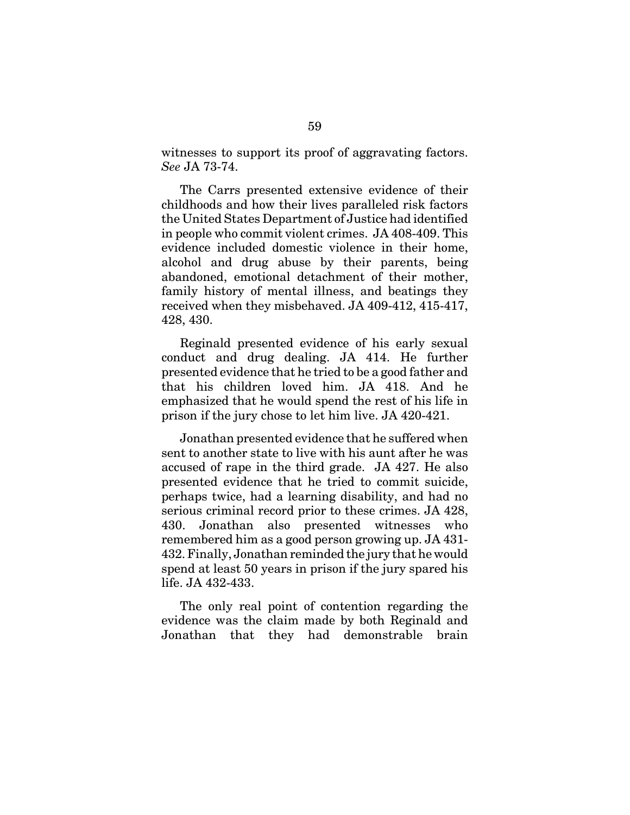witnesses to support its proof of aggravating factors. *See* JA 73-74.

The Carrs presented extensive evidence of their childhoods and how their lives paralleled risk factors the United States Department of Justice had identified in people who commit violent crimes. JA 408-409. This evidence included domestic violence in their home, alcohol and drug abuse by their parents, being abandoned, emotional detachment of their mother, family history of mental illness, and beatings they received when they misbehaved. JA 409-412, 415-417, 428, 430.

Reginald presented evidence of his early sexual conduct and drug dealing. JA 414. He further presented evidence that he tried to be a good father and that his children loved him. JA 418. And he emphasized that he would spend the rest of his life in prison if the jury chose to let him live. JA 420-421.

Jonathan presented evidence that he suffered when sent to another state to live with his aunt after he was accused of rape in the third grade. JA 427. He also presented evidence that he tried to commit suicide, perhaps twice, had a learning disability, and had no serious criminal record prior to these crimes. JA 428, 430. Jonathan also presented witnesses who remembered him as a good person growing up. JA 431- 432. Finally, Jonathan reminded the jury that he would spend at least 50 years in prison if the jury spared his life. JA 432-433.

The only real point of contention regarding the evidence was the claim made by both Reginald and Jonathan that they had demonstrable brain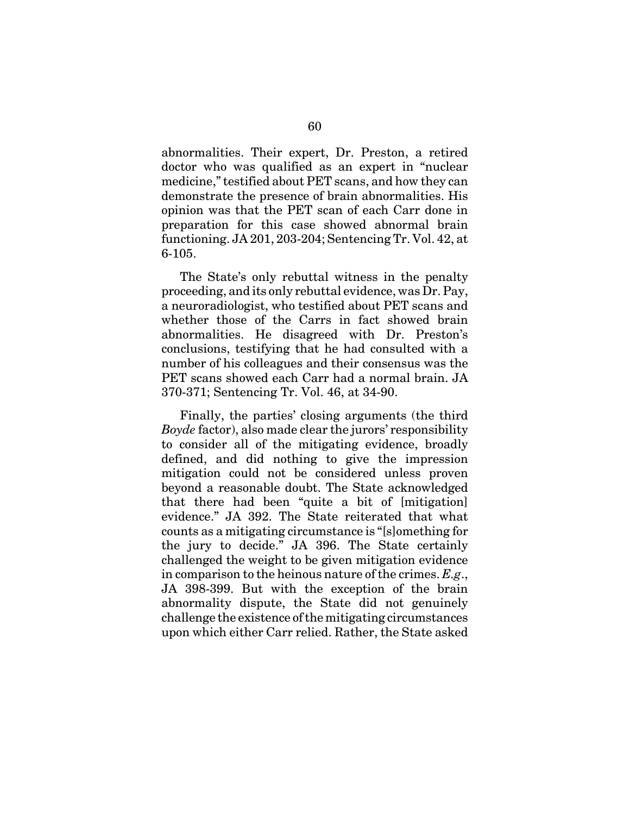abnormalities. Their expert, Dr. Preston, a retired doctor who was qualified as an expert in "nuclear medicine," testified about PET scans, and how they can demonstrate the presence of brain abnormalities. His opinion was that the PET scan of each Carr done in preparation for this case showed abnormal brain functioning. JA 201, 203-204; Sentencing Tr. Vol. 42, at 6-105.

The State's only rebuttal witness in the penalty proceeding, and its only rebuttal evidence, was Dr. Pay, a neuroradiologist, who testified about PET scans and whether those of the Carrs in fact showed brain abnormalities. He disagreed with Dr. Preston's conclusions, testifying that he had consulted with a number of his colleagues and their consensus was the PET scans showed each Carr had a normal brain. JA 370-371; Sentencing Tr. Vol. 46, at 34-90.

Finally, the parties' closing arguments (the third *Boyde* factor), also made clear the jurors' responsibility to consider all of the mitigating evidence, broadly defined, and did nothing to give the impression mitigation could not be considered unless proven beyond a reasonable doubt. The State acknowledged that there had been "quite a bit of [mitigation] evidence." JA 392. The State reiterated that what counts as a mitigating circumstance is "[s]omething for the jury to decide." JA 396. The State certainly challenged the weight to be given mitigation evidence in comparison to the heinous nature of the crimes. *E.g*., JA 398-399. But with the exception of the brain abnormality dispute, the State did not genuinely challenge the existence of the mitigating circumstances upon which either Carr relied. Rather, the State asked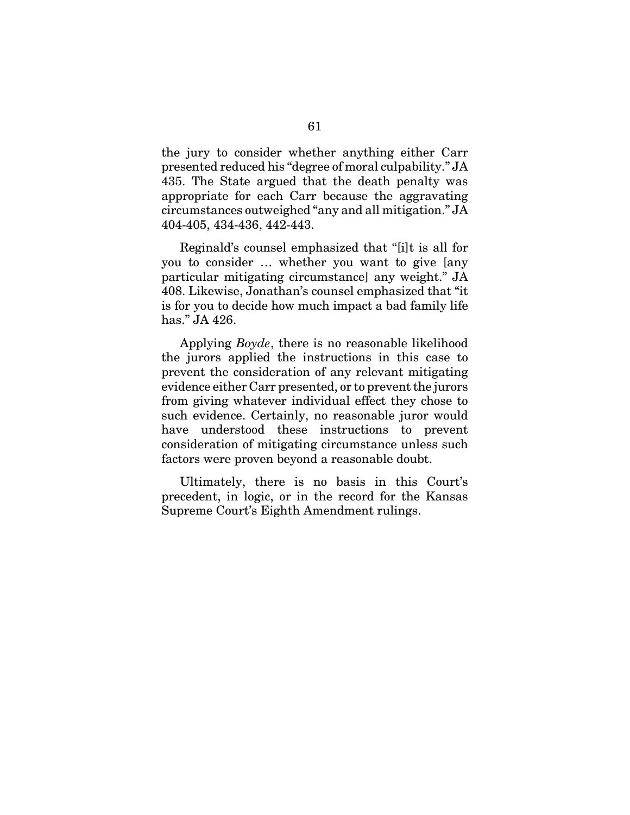the jury to consider whether anything either Carr presented reduced his "degree of moral culpability." JA 435. The State argued that the death penalty was appropriate for each Carr because the aggravating circumstances outweighed "any and all mitigation." JA 404-405, 434-436, 442-443.

Reginald's counsel emphasized that "[i]t is all for you to consider … whether you want to give [any particular mitigating circumstance] any weight." JA 408. Likewise, Jonathan's counsel emphasized that "it is for you to decide how much impact a bad family life has." JA 426.

Applying *Boyde*, there is no reasonable likelihood the jurors applied the instructions in this case to prevent the consideration of any relevant mitigating evidence either Carr presented, or to prevent the jurors from giving whatever individual effect they chose to such evidence. Certainly, no reasonable juror would have understood these instructions to prevent consideration of mitigating circumstance unless such factors were proven beyond a reasonable doubt.

Ultimately, there is no basis in this Court's precedent, in logic, or in the record for the Kansas Supreme Court's Eighth Amendment rulings.